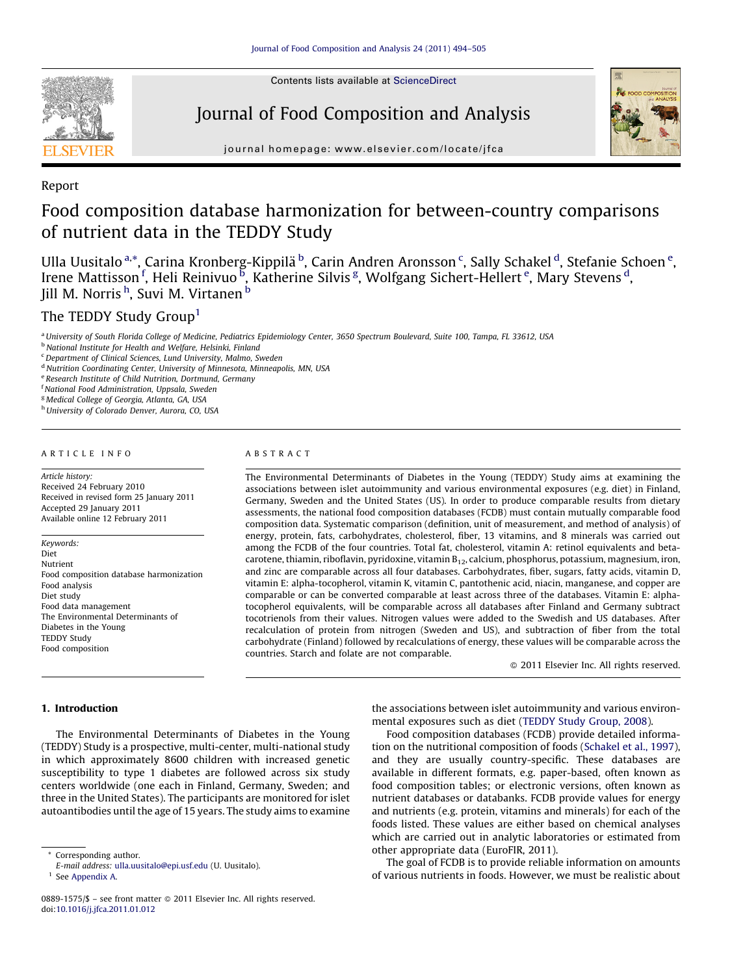

Contents lists available at [ScienceDirect](http://www.sciencedirect.com/science/journal/08891575)

# Journal of Food Composition and Analysis



journal homepage: www.elsevier.com/locate/jfca

# Report

# Food composition database harmonization for between-country comparisons of nutrient data in the TEDDY Study

Ulla Uusitalo <sup>a,\*</sup>, Carina Kronberg-Kippilä <sup>b</sup>, Carin Andren Aronsson <sup>c</sup>, Sally Schakel <sup>d</sup>, Stefanie Schoen <sup>e</sup>, Irene Mattisson <sup>f</sup>, Heli Reinivuo <sup>Б</sup>, Katherine Silvis <sup>g</sup>, Wolfgang Sichert-Hellert <sup>e</sup>, Mary Stevens <sup>d</sup>, Jill M. Norris <sup>h</sup>, Suvi M. Virtanen <sup>b</sup>

# The TEDDY Study Group<sup>1</sup>

a University of South Florida College of Medicine, Pediatrics Epidemiology Center, 3650 Spectrum Boulevard, Suite 100, Tampa, FL 33612, USA

**b** National Institute for Health and Welfare, Helsinki, Finland

<sup>c</sup> Department of Clinical Sciences, Lund University, Malmo, Sweden

<sup>d</sup> Nutrition Coordinating Center, University of Minnesota, Minneapolis, MN, USA

<sup>e</sup> Research Institute of Child Nutrition, Dortmund, Germany

<sup>f</sup> National Food Administration, Uppsala, Sweden

<sup>g</sup> Medical College of Georgia, Atlanta, GA, USA

h University of Colorado Denver, Aurora, CO, USA

#### A R T I C I E I N E O

Article history: Received 24 February 2010 Received in revised form 25 January 2011 Accepted 29 January 2011 Available online 12 February 2011

Keywords: Diet Nutrient Food composition database harmonization Food analysis Diet study Food data management The Environmental Determinants of Diabetes in the Young TEDDY Study Food composition

# A B S T R A C T

The Environmental Determinants of Diabetes in the Young (TEDDY) Study aims at examining the associations between islet autoimmunity and various environmental exposures (e.g. diet) in Finland, Germany, Sweden and the United States (US). In order to produce comparable results from dietary assessments, the national food composition databases (FCDB) must contain mutually comparable food composition data. Systematic comparison (definition, unit of measurement, and method of analysis) of energy, protein, fats, carbohydrates, cholesterol, fiber, 13 vitamins, and 8 minerals was carried out among the FCDB of the four countries. Total fat, cholesterol, vitamin A: retinol equivalents and betacarotene, thiamin, riboflavin, pyridoxine, vitamin  $B_{12}$ , calcium, phosphorus, potassium, magnesium, iron, and zinc are comparable across all four databases. Carbohydrates, fiber, sugars, fatty acids, vitamin D, vitamin E: alpha-tocopherol, vitamin K, vitamin C, pantothenic acid, niacin, manganese, and copper are comparable or can be converted comparable at least across three of the databases. Vitamin E: alphatocopherol equivalents, will be comparable across all databases after Finland and Germany subtract tocotrienols from their values. Nitrogen values were added to the Swedish and US databases. After recalculation of protein from nitrogen (Sweden and US), and subtraction of fiber from the total carbohydrate (Finland) followed by recalculations of energy, these values will be comparable across the countries. Starch and folate are not comparable.

- 2011 Elsevier Inc. All rights reserved.

## 1. Introduction

The Environmental Determinants of Diabetes in the Young (TEDDY) Study is a prospective, multi-center, multi-national study in which approximately 8600 children with increased genetic susceptibility to type 1 diabetes are followed across six study centers worldwide (one each in Finland, Germany, Sweden; and three in the United States). The participants are monitored for islet autoantibodies until the age of 15 years. The study aims to examine

\* Corresponding author.

the associations between islet autoimmunity and various environmental exposures such as diet ([TEDDY](#page-11-0) Study Group, 2008).

Food composition databases (FCDB) provide detailed information on the nutritional composition of foods ([Schakel](#page-10-0) et al., 1997), and they are usually country-specific. These databases are available in different formats, e.g. paper-based, often known as food composition tables; or electronic versions, often known as nutrient databases or databanks. FCDB provide values for energy and nutrients (e.g. protein, vitamins and minerals) for each of the foods listed. These values are either based on chemical analyses which are carried out in analytic laboratories or estimated from other appropriate data (EuroFIR, 2011).

The goal of FCDB is to provide reliable information on amounts of various nutrients in foods. However, we must be realistic about

E-mail address: [ulla.uusitalo@epi.usf.edu](mailto:ulla.uusitalo@epi.usf.edu) (U. Uusitalo).

<sup>&</sup>lt;sup>1</sup> See [Appendix](#page-9-0) A.

<sup>0889-1575/\$ –</sup> see front matter © 2011 Elsevier Inc. All rights reserved. doi:[10.1016/j.jfca.2011.01.012](http://dx.doi.org/10.1016/j.jfca.2011.01.012)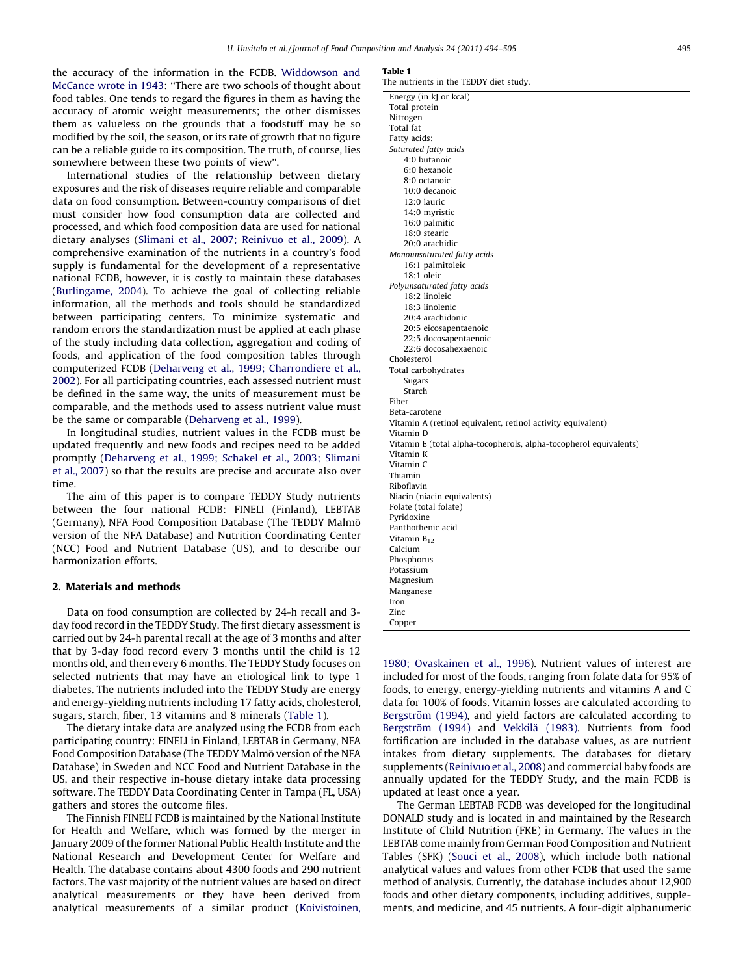<span id="page-1-0"></span>the accuracy of the information in the FCDB. [Widdowson](#page-11-0) and [McCance](#page-11-0) wrote in 1943: ''There are two schools of thought about food tables. One tends to regard the figures in them as having the accuracy of atomic weight measurements; the other dismisses them as valueless on the grounds that a foodstuff may be so modified by the soil, the season, or its rate of growth that no figure can be a reliable guide to its composition. The truth, of course, lies somewhere between these two points of view''.

International studies of the relationship between dietary exposures and the risk of diseases require reliable and comparable data on food consumption. Between-country comparisons of diet must consider how food consumption data are collected and processed, and which food composition data are used for national dietary analyses (Slimani et al., 2007; [Reinivuo](#page-10-0) et al., 2009). A comprehensive examination of the nutrients in a country's food supply is fundamental for the development of a representative national FCDB, however, it is costly to maintain these databases ([Burlingame,](#page-10-0) 2004). To achieve the goal of collecting reliable information, all the methods and tools should be standardized between participating centers. To minimize systematic and random errors the standardization must be applied at each phase of the study including data collection, aggregation and coding of foods, and application of the food composition tables through computerized FCDB (Deharveng et al., 1999; [Charrondiere](#page-10-0) et al., [2002\)](#page-10-0). For all participating countries, each assessed nutrient must be defined in the same way, the units of measurement must be comparable, and the methods used to assess nutrient value must be the same or comparable ([Deharveng](#page-10-0) et al., 1999).

In longitudinal studies, nutrient values in the FCDB must be updated frequently and new foods and recipes need to be added promptly ([Deharveng](#page-10-0) et al., 1999; Schakel et al., 2003; Slimani et al., [2007\)](#page-10-0) so that the results are precise and accurate also over time.

The aim of this paper is to compare TEDDY Study nutrients between the four national FCDB: FINELI (Finland), LEBTAB (Germany), NFA Food Composition Database (The TEDDY Malmo¨ version of the NFA Database) and Nutrition Coordinating Center (NCC) Food and Nutrient Database (US), and to describe our harmonization efforts.

#### 2. Materials and methods

Data on food consumption are collected by 24-h recall and 3 day food record in the TEDDY Study. The first dietary assessment is carried out by 24-h parental recall at the age of 3 months and after that by 3-day food record every 3 months until the child is 12 months old, and then every 6 months. The TEDDY Study focuses on selected nutrients that may have an etiological link to type 1 diabetes. The nutrients included into the TEDDY Study are energy and energy-yielding nutrients including 17 fatty acids, cholesterol, sugars, starch, fiber, 13 vitamins and 8 minerals (Table 1).

The dietary intake data are analyzed using the FCDB from each participating country: FINELI in Finland, LEBTAB in Germany, NFA Food Composition Database (The TEDDY Malmö version of the NFA Database) in Sweden and NCC Food and Nutrient Database in the US, and their respective in-house dietary intake data processing software. The TEDDY Data Coordinating Center in Tampa (FL, USA) gathers and stores the outcome files.

The Finnish FINELI FCDB is maintained by the National Institute for Health and Welfare, which was formed by the merger in January 2009 of the former National Public Health Institute and the National Research and Development Center for Welfare and Health. The database contains about 4300 foods and 290 nutrient factors. The vast majority of the nutrient values are based on direct analytical measurements or they have been derived from analytical measurements of a similar product ([Koivistoinen,](#page-10-0)

#### Table 1

The nutrients in the TEDDY diet study.

| $\cdot$                                                           |
|-------------------------------------------------------------------|
| Energy (in kJ or kcal)                                            |
| Total protein                                                     |
| Nitrogen                                                          |
| Total fat                                                         |
| Fatty acids:                                                      |
| Saturated fatty acids                                             |
| 4:0 butanoic                                                      |
| 6:0 hexanoic                                                      |
| 8:0 octanoic                                                      |
| 10:0 decanoic                                                     |
| 12:0 lauric                                                       |
| 14:0 myristic                                                     |
| 16:0 palmitic                                                     |
| 18:0 stearic                                                      |
| 20:0 arachidic                                                    |
| Monounsaturated fatty acids                                       |
| 16:1 palmitoleic                                                  |
| 18:1 oleic                                                        |
| Polyunsaturated fatty acids                                       |
| 18:2 linoleic                                                     |
| 18:3 linolenic                                                    |
| 20:4 arachidonic                                                  |
| 20:5 eicosapentaenoic                                             |
| 22:5 docosapentaenoic                                             |
| 22:6 docosahexaenoic                                              |
| Cholesterol                                                       |
| Total carbohydrates                                               |
| Sugars                                                            |
| Starch                                                            |
| Fiber                                                             |
| Beta-carotene                                                     |
| Vitamin A (retinol equivalent, retinol activity equivalent)       |
| Vitamin D                                                         |
| Vitamin E (total alpha-tocopherols, alpha-tocopherol equivalents) |
| Vitamin K                                                         |
| Vitamin C                                                         |
| Thiamin                                                           |
| Riboflavin                                                        |
| Niacin (niacin equivalents)                                       |
| Folate (total folate)                                             |
| Pyridoxine                                                        |
| Panthothenic acid                                                 |
| Vitamin $B_{12}$                                                  |
| Calcium                                                           |
| Phosphorus                                                        |
| Potassium                                                         |
| Magnesium                                                         |
| Manganese                                                         |
| Iron                                                              |
| Zinc                                                              |
| Copper                                                            |
|                                                                   |

1980; [Ovaskainen](#page-10-0) et al., 1996). Nutrient values of interest are included for most of the foods, ranging from folate data for 95% of foods, to energy, energy-yielding nutrients and vitamins A and C data for 100% of foods. Vitamin losses are calculated according to Bergström (1994), and yield factors are calculated according to Bergström (1994) and Vekkilä (1983). Nutrients from food fortification are included in the database values, as are nutrient intakes from dietary supplements. The databases for dietary supplements [\(Reinivuo](#page-10-0) et al., 2008) and commercial baby foods are annually updated for the TEDDY Study, and the main FCDB is updated at least once a year.

The German LEBTAB FCDB was developed for the longitudinal DONALD study and is located in and maintained by the Research Institute of Child Nutrition (FKE) in Germany. The values in the LEBTAB come mainly from German Food Composition and Nutrient Tables (SFK) ([Souci](#page-10-0) et al., 2008), which include both national analytical values and values from other FCDB that used the same method of analysis. Currently, the database includes about 12,900 foods and other dietary components, including additives, supplements, and medicine, and 45 nutrients. A four-digit alphanumeric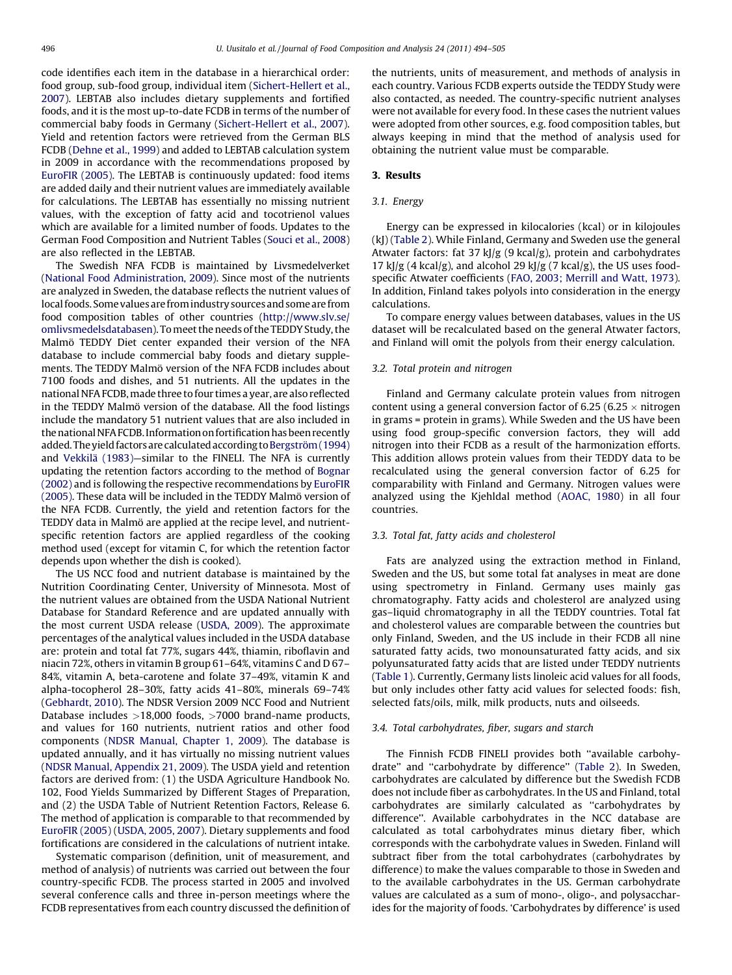code identifies each item in the database in a hierarchical order: food group, sub-food group, individual item ([Sichert-Hellert](#page-10-0) et al., [2007\)](#page-10-0). LEBTAB also includes dietary supplements and fortified foods, and it is the most up-to-date FCDB in terms of the number of commercial baby foods in Germany ([Sichert-Hellert](#page-10-0) et al., 2007). Yield and retention factors were retrieved from the German BLS FCDB ([Dehne](#page-10-0) et al., 1999) and added to LEBTAB calculation system in 2009 in accordance with the recommendations proposed by [EuroFIR](#page-10-0) (2005). The LEBTAB is continuously updated: food items are added daily and their nutrient values are immediately available for calculations. The LEBTAB has essentially no missing nutrient values, with the exception of fatty acid and tocotrienol values which are available for a limited number of foods. Updates to the German Food Composition and Nutrient Tables ([Souci](#page-10-0) et al., 2008) are also reflected in the LEBTAB.

The Swedish NFA FCDB is maintained by Livsmedelverket (National Food [Administration,](#page-10-0) 2009). Since most of the nutrients are analyzed in Sweden, the database reflects the nutrient values of local foods. Some values are from industry sources and some are from food composition tables of other countries [\(http://www.slv.se/](http://www.slv.se/omlivsmedelsdatabasen) [omlivsmedelsdatabasen](http://www.slv.se/omlivsmedelsdatabasen)). To meet the needs of the TEDDY Study, the Malmö TEDDY Diet center expanded their version of the NFA database to include commercial baby foods and dietary supplements. The TEDDY Malmö version of the NFA FCDB includes about 7100 foods and dishes, and 51 nutrients. All the updates in the national NFA FCDB, made three to four times a year, are also reflected in the TEDDY Malmö version of the database. All the food listings include the mandatory 51 nutrient values that are also included in the national NFA FCDB. Information on fortification has been recently added. The yield factors are calculated according to Bergström (1994) and Vekkilä (1983)–similar to the FINELI. The NFA is currently updating the retention factors according to the method of [Bognar](#page-10-0) [\(2002\)](#page-10-0) and is following the respective recommendations by [EuroFIR](#page-10-0) [\(2005\).](#page-10-0) These data will be included in the TEDDY Malmö version of the NFA FCDB. Currently, the yield and retention factors for the TEDDY data in Malmö are applied at the recipe level, and nutrientspecific retention factors are applied regardless of the cooking method used (except for vitamin C, for which the retention factor depends upon whether the dish is cooked).

The US NCC food and nutrient database is maintained by the Nutrition Coordinating Center, University of Minnesota. Most of the nutrient values are obtained from the USDA National Nutrient Database for Standard Reference and are updated annually with the most current USDA release [\(USDA,](#page-11-0) 2009). The approximate percentages of the analytical values included in the USDA database are: protein and total fat 77%, sugars 44%, thiamin, riboflavin and niacin 72%, others in vitamin B group 61–64%, vitamins C and D 67– 84%, vitamin A, beta-carotene and folate 37–49%, vitamin K and alpha-tocopherol 28–30%, fatty acids 41–80%, minerals 69–74% ([Gebhardt,](#page-10-0) 2010). The NDSR Version 2009 NCC Food and Nutrient Database includes >18,000 foods, >7000 brand-name products, and values for 160 nutrients, nutrient ratios and other food components (NDSR [Manual,](#page-10-0) Chapter 1, 2009). The database is updated annually, and it has virtually no missing nutrient values (NDSR Manual, [Appendix](#page-10-0) 21, 2009). The USDA yield and retention factors are derived from: (1) the USDA Agriculture Handbook No. 102, Food Yields Summarized by Different Stages of Preparation, and (2) the USDA Table of Nutrient Retention Factors, Release 6. The method of application is comparable to that recommended by [EuroFIR](#page-10-0) (2005) ([USDA,](#page-11-0) 2005, 2007). Dietary supplements and food fortifications are considered in the calculations of nutrient intake.

Systematic comparison (definition, unit of measurement, and method of analysis) of nutrients was carried out between the four country-specific FCDB. The process started in 2005 and involved several conference calls and three in-person meetings where the FCDB representatives from each country discussed the definition of the nutrients, units of measurement, and methods of analysis in each country. Various FCDB experts outside the TEDDY Study were also contacted, as needed. The country-specific nutrient analyses were not available for every food. In these cases the nutrient values were adopted from other sources, e.g. food composition tables, but always keeping in mind that the method of analysis used for obtaining the nutrient value must be comparable.

#### 3. Results

# 3.1. Energy

Energy can be expressed in kilocalories (kcal) or in kilojoules (kJ) ([Table](#page-3-0) 2). While Finland, Germany and Sweden use the general Atwater factors: fat 37 kJ/g (9 kcal/g), protein and carbohydrates 17 kJ/g (4 kcal/g), and alcohol 29 kJ/g (7 kcal/g), the US uses foodspecific Atwater coefficients (FAO, 2003; [Merrill](#page-10-0) and Watt, 1973). In addition, Finland takes polyols into consideration in the energy calculations.

To compare energy values between databases, values in the US dataset will be recalculated based on the general Atwater factors, and Finland will omit the polyols from their energy calculation.

#### 3.2. Total protein and nitrogen

Finland and Germany calculate protein values from nitrogen content using a general conversion factor of 6.25 (6.25  $\times$  nitrogen in grams = protein in grams). While Sweden and the US have been using food group-specific conversion factors, they will add nitrogen into their FCDB as a result of the harmonization efforts. This addition allows protein values from their TEDDY data to be recalculated using the general conversion factor of 6.25 for comparability with Finland and Germany. Nitrogen values were analyzed using the Kjehldal method ([AOAC,](#page-10-0) 1980) in all four countries.

#### 3.3. Total fat, fatty acids and cholesterol

Fats are analyzed using the extraction method in Finland, Sweden and the US, but some total fat analyses in meat are done using spectrometry in Finland. Germany uses mainly gas chromatography. Fatty acids and cholesterol are analyzed using gas–liquid chromatography in all the TEDDY countries. Total fat and cholesterol values are comparable between the countries but only Finland, Sweden, and the US include in their FCDB all nine saturated fatty acids, two monounsaturated fatty acids, and six polyunsaturated fatty acids that are listed under TEDDY nutrients ([Table](#page-1-0) 1). Currently, Germany lists linoleic acid values for all foods, but only includes other fatty acid values for selected foods: fish, selected fats/oils, milk, milk products, nuts and oilseeds.

#### 3.4. Total carbohydrates, fiber, sugars and starch

The Finnish FCDB FINELI provides both ''available carbohydrate'' and ''carbohydrate by difference'' [\(Table](#page-3-0) 2). In Sweden, carbohydrates are calculated by difference but the Swedish FCDB does not include fiber as carbohydrates. In the US and Finland, total carbohydrates are similarly calculated as ''carbohydrates by difference''. Available carbohydrates in the NCC database are calculated as total carbohydrates minus dietary fiber, which corresponds with the carbohydrate values in Sweden. Finland will subtract fiber from the total carbohydrates (carbohydrates by difference) to make the values comparable to those in Sweden and to the available carbohydrates in the US. German carbohydrate values are calculated as a sum of mono-, oligo-, and polysaccharides for the majority of foods. 'Carbohydrates by difference' is used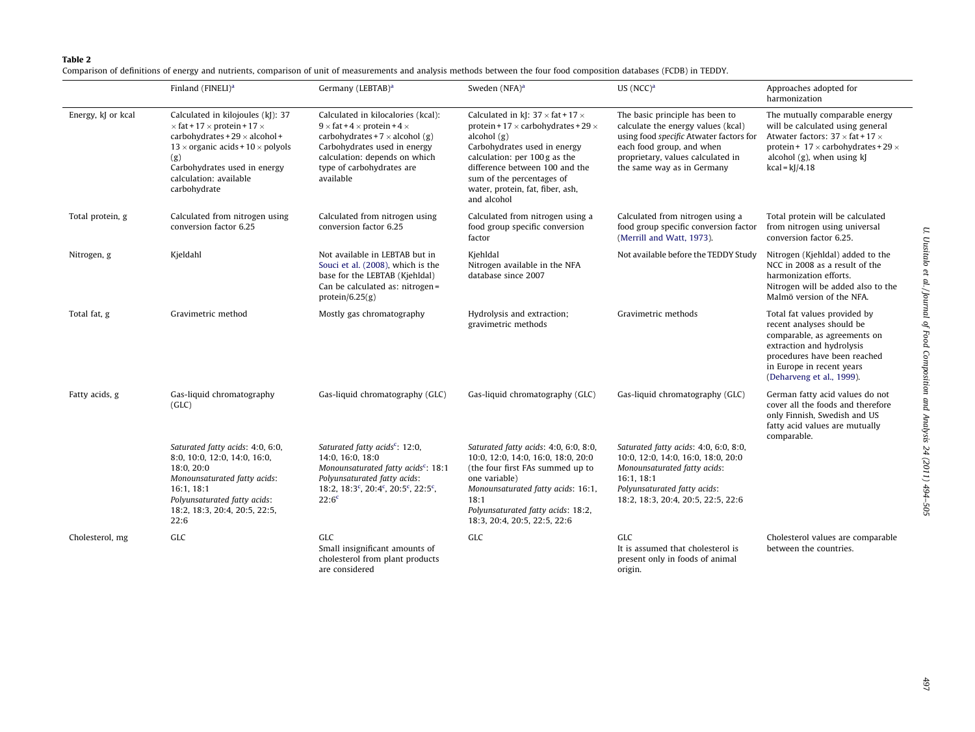#### <span id="page-3-0"></span>Table 2

Comparison of definitions of energy and nutrients, comparison of unit of measurements and analysis methods between the four food composition databases (FCDB) in TEDDY.

|                    | Finland (FINELI) <sup>a</sup>                                                                                                                                                                                                                                      | Germany (LEBTAB) <sup>a</sup>                                                                                                                                                                                                                          | Sweden $(NFA)^a$                                                                                                                                                                                                                                                                                         | US (NCC) <sup>a</sup>                                                                                                                                                                                            | Approaches adopted for<br>harmonization                                                                                                                                                                                           |
|--------------------|--------------------------------------------------------------------------------------------------------------------------------------------------------------------------------------------------------------------------------------------------------------------|--------------------------------------------------------------------------------------------------------------------------------------------------------------------------------------------------------------------------------------------------------|----------------------------------------------------------------------------------------------------------------------------------------------------------------------------------------------------------------------------------------------------------------------------------------------------------|------------------------------------------------------------------------------------------------------------------------------------------------------------------------------------------------------------------|-----------------------------------------------------------------------------------------------------------------------------------------------------------------------------------------------------------------------------------|
| Energy, kJ or kcal | Calculated in kilojoules (kJ): 37<br>$\times$ fat + 17 $\times$ protein + 17 $\times$<br>carbohydrates + $29 \times$ alcohol +<br>$13 \times$ organic acids + $10 \times$ polyols<br>(g)<br>Carbohydrates used in energy<br>calculation: available<br>carbohydrate | Calculated in kilocalories (kcal):<br>$9 \times$ fat + 4 $\times$ protein + 4 $\times$<br>carbohydrates + 7 $\times$ alcohol (g)<br>Carbohydrates used in energy<br>calculation: depends on which<br>type of carbohydrates are<br>available            | Calculated in k[: $37 \times$ fat + 17 $\times$<br>protein + 17 $\times$ carbohydrates + 29 $\times$<br>alcohol $(g)$<br>Carbohydrates used in energy<br>calculation: per 100 g as the<br>difference between 100 and the<br>sum of the percentages of<br>water, protein, fat, fiber, ash,<br>and alcohol | The basic principle has been to<br>calculate the energy values (kcal)<br>using food specific Atwater factors for<br>each food group, and when<br>proprietary, values calculated in<br>the same way as in Germany | The mutually comparable energy<br>will be calculated using general<br>Atwater factors: $37 \times$ fat + 17 $\times$<br>protein + $17 \times$ carbohydrates + 29 $\times$<br>alcohol $(g)$ , when using $k$ .<br>$kcal = kJ/4.18$ |
| Total protein, g   | Calculated from nitrogen using<br>conversion factor 6.25                                                                                                                                                                                                           | Calculated from nitrogen using<br>conversion factor 6.25                                                                                                                                                                                               | Calculated from nitrogen using a<br>food group specific conversion<br>factor                                                                                                                                                                                                                             | Calculated from nitrogen using a<br>food group specific conversion factor<br>(Merrill and Watt, 1973).                                                                                                           | Total protein will be calculated<br>from nitrogen using universal<br>conversion factor 6.25.                                                                                                                                      |
| Nitrogen, g        | Kjeldahl                                                                                                                                                                                                                                                           | Not available in LEBTAB but in<br>Souci et al. (2008), which is the<br>base for the LEBTAB (Kjehldal)<br>Can be calculated as: nitrogen=<br>protein/6.25 $(g)$                                                                                         | Kjehldal<br>Nitrogen available in the NFA<br>database since 2007                                                                                                                                                                                                                                         | Not available before the TEDDY Study                                                                                                                                                                             | Nitrogen (Kjehldal) added to the<br>NCC in 2008 as a result of the<br>harmonization efforts.<br>Nitrogen will be added also to the<br>Malmö version of the NFA.                                                                   |
| Total fat, g       | Gravimetric method                                                                                                                                                                                                                                                 | Mostly gas chromatography                                                                                                                                                                                                                              | Hydrolysis and extraction;<br>gravimetric methods                                                                                                                                                                                                                                                        | Gravimetric methods                                                                                                                                                                                              | Total fat values provided by<br>recent analyses should be<br>comparable, as agreements on<br>extraction and hydrolysis<br>procedures have been reached<br>in Europe in recent years<br>(Deharveng et al., 1999).                  |
| Fatty acids, g     | Gas-liquid chromatography<br>(GLC)                                                                                                                                                                                                                                 | Gas-liquid chromatography (GLC)                                                                                                                                                                                                                        | Gas-liquid chromatography (GLC)                                                                                                                                                                                                                                                                          | Gas-liquid chromatography (GLC)                                                                                                                                                                                  | German fatty acid values do not<br>cover all the foods and therefore<br>only Finnish, Swedish and US<br>fatty acid values are mutually<br>comparable.                                                                             |
|                    | Saturated fatty acids: 4:0, 6:0,<br>8:0, 10:0, 12:0, 14:0, 16:0,<br>18:0, 20:0<br>Monounsaturated fatty acids:<br>16:1, 18:1<br>Polyunsaturated fatty acids:<br>18:2, 18:3, 20:4, 20:5, 22:5,<br>22:6                                                              | Saturated fatty acids <sup>c</sup> : 12:0,<br>14:0, 16:0, 18:0<br>Monounsaturated fatty acids <sup>c</sup> : 18:1<br>Polyunsaturated fatty acids:<br>18:2, 18:3 <sup>c</sup> , 20:4 <sup>c</sup> , 20:5 <sup>c</sup> , 22:5 <sup>c</sup> ,<br>$22:6^c$ | Saturated fatty acids: 4:0, 6:0, 8:0,<br>10:0, 12:0, 14:0, 16:0, 18:0, 20:0<br>(the four first FAs summed up to<br>one variable)<br>Monounsaturated fatty acids: 16:1,<br>18:1<br>Polyunsaturated fatty acids: 18:2,<br>18:3, 20:4, 20:5, 22:5, 22:6                                                     | Saturated fatty acids: 4:0, 6:0, 8:0,<br>10:0, 12:0, 14:0, 16:0, 18:0, 20:0<br>Monounsaturated fatty acids:<br>16:1.18:1<br>Polyunsaturated fatty acids:<br>18:2, 18:3, 20:4, 20:5, 22:5, 22:6                   |                                                                                                                                                                                                                                   |
| Cholesterol, mg    | GLC                                                                                                                                                                                                                                                                | GLC<br>Small insignificant amounts of<br>cholesterol from plant products<br>are considered                                                                                                                                                             | GLC                                                                                                                                                                                                                                                                                                      | GLC<br>It is assumed that cholesterol is<br>present only in foods of animal<br>origin.                                                                                                                           | Cholesterol values are comparable<br>between the countries.                                                                                                                                                                       |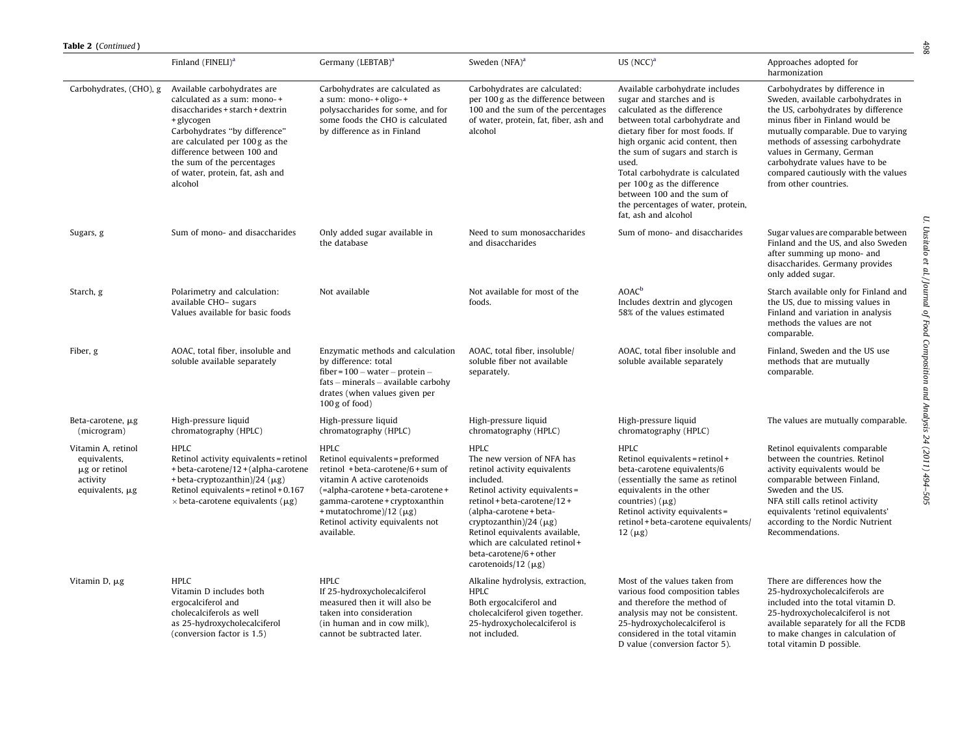| Table 2 (Continued)                                                                     |                                                                                                                                                                                                                                                                                            |                                                                                                                                                                                                                                                                                   |                                                                                                                                                                                                                                                                                                                                         |                                                                                                                                                                                                                                                                                                                                                                                                                  |                                                                                                                                                                                                                                                                                                                                                           |
|-----------------------------------------------------------------------------------------|--------------------------------------------------------------------------------------------------------------------------------------------------------------------------------------------------------------------------------------------------------------------------------------------|-----------------------------------------------------------------------------------------------------------------------------------------------------------------------------------------------------------------------------------------------------------------------------------|-----------------------------------------------------------------------------------------------------------------------------------------------------------------------------------------------------------------------------------------------------------------------------------------------------------------------------------------|------------------------------------------------------------------------------------------------------------------------------------------------------------------------------------------------------------------------------------------------------------------------------------------------------------------------------------------------------------------------------------------------------------------|-----------------------------------------------------------------------------------------------------------------------------------------------------------------------------------------------------------------------------------------------------------------------------------------------------------------------------------------------------------|
|                                                                                         | Finland (FINELI) <sup>a</sup>                                                                                                                                                                                                                                                              | Germany (LEBTAB) <sup>a</sup>                                                                                                                                                                                                                                                     | Sweden (NFA) <sup>a</sup>                                                                                                                                                                                                                                                                                                               | US (NCC) <sup>a</sup>                                                                                                                                                                                                                                                                                                                                                                                            | Approaches adopted for<br>harmonization                                                                                                                                                                                                                                                                                                                   |
| Carbohydrates, (CHO), g                                                                 | Available carbohydrates are<br>calculated as a sum: mono-+<br>disaccharides + starch + dextrin<br>+ glycogen<br>Carbohydrates "by difference"<br>are calculated per 100 g as the<br>difference between 100 and<br>the sum of the percentages<br>of water, protein, fat, ash and<br>alcohol | Carbohydrates are calculated as<br>a sum: mono-+oligo-+<br>polysaccharides for some, and for<br>some foods the CHO is calculated<br>by difference as in Finland                                                                                                                   | Carbohydrates are calculated:<br>per 100 g as the difference between<br>100 and the sum of the percentages<br>of water, protein, fat, fiber, ash and<br>alcohol                                                                                                                                                                         | Available carbohydrate includes<br>sugar and starches and is<br>calculated as the difference<br>between total carbohydrate and<br>dietary fiber for most foods. If<br>high organic acid content, then<br>the sum of sugars and starch is<br>used.<br>Total carbohydrate is calculated<br>per 100 g as the difference<br>between 100 and the sum of<br>the percentages of water, protein,<br>fat, ash and alcohol | Carbohydrates by difference in<br>Sweden, available carbohydrates in<br>the US, carbohydrates by difference<br>minus fiber in Finland would be<br>mutually comparable. Due to varying<br>methods of assessing carbohydrate<br>values in Germany, German<br>carbohydrate values have to be<br>compared cautiously with the values<br>from other countries. |
| Sugars, g                                                                               | Sum of mono- and disaccharides                                                                                                                                                                                                                                                             | Only added sugar available in<br>the database                                                                                                                                                                                                                                     | Need to sum monosaccharides<br>and disaccharides                                                                                                                                                                                                                                                                                        | Sum of mono- and disaccharides                                                                                                                                                                                                                                                                                                                                                                                   | Sugar values are comparable between<br>Finland and the US, and also Sweden<br>after summing up mono- and<br>disaccharides. Germany provides<br>only added sugar.                                                                                                                                                                                          |
| Starch, g                                                                               | Polarimetry and calculation:<br>available CHO- sugars<br>Values available for basic foods                                                                                                                                                                                                  | Not available                                                                                                                                                                                                                                                                     | Not available for most of the<br>foods.                                                                                                                                                                                                                                                                                                 | AOAC <sup>b</sup><br>Includes dextrin and glycogen<br>58% of the values estimated                                                                                                                                                                                                                                                                                                                                | Starch available only for Finland and<br>the US, due to missing values in<br>Finland and variation in analysis<br>methods the values are not<br>comparable.                                                                                                                                                                                               |
| Fiber, g                                                                                | AOAC, total fiber, insoluble and<br>soluble available separately                                                                                                                                                                                                                           | Enzymatic methods and calculation<br>by difference: total<br>fiber = $100 - water - protein -$<br>$fats$ – minerals – available carbohy<br>drates (when values given per<br>$100 g$ of food)                                                                                      | AOAC, total fiber, insoluble/<br>soluble fiber not available<br>separately.                                                                                                                                                                                                                                                             | AOAC, total fiber insoluble and<br>soluble available separately                                                                                                                                                                                                                                                                                                                                                  | Finland, Sweden and the US use<br>methods that are mutually<br>comparable.                                                                                                                                                                                                                                                                                |
| Beta-carotene, µg<br>(microgram)                                                        | High-pressure liquid<br>chromatography (HPLC)                                                                                                                                                                                                                                              | High-pressure liquid<br>chromatography (HPLC)                                                                                                                                                                                                                                     | High-pressure liquid<br>chromatography (HPLC)                                                                                                                                                                                                                                                                                           | High-pressure liquid<br>chromatography (HPLC)                                                                                                                                                                                                                                                                                                                                                                    | The values are mutually comparable.                                                                                                                                                                                                                                                                                                                       |
| Vitamin A, retinol<br>equivalents,<br>$\mu$ g or retinol<br>activity<br>equivalents, µg | <b>HPLC</b><br>Retinol activity equivalents = retinol<br>+ beta-carotene/12 + (alpha-carotene<br>+ beta-cryptozanthin)/24 $(\mu$ g)<br>Retinol equivalents = retinol + 0.167<br>$\times$ beta-carotene equivalents ( $\mu$ g)                                                              | <b>HPLC</b><br>Retinol equivalents = preformed<br>retinol + beta-carotene/ $6 + sum$ of<br>vitamin A active carotenoids<br>(=alpha-carotene + beta-carotene +<br>gamma-carotene + cryptoxanthin<br>+ mutatochrome)/12 $(\mu g)$<br>Retinol activity equivalents not<br>available. | <b>HPLC</b><br>The new version of NFA has<br>retinol activity equivalents<br>included.<br>Retinol activity equivalents =<br>retinol + beta-carotene/12 +<br>(alpha-carotene + beta-<br>cryptozanthin)/24 (µg)<br>Retinol equivalents available,<br>which are calculated retinol+<br>beta-carotene/6 + other<br>carotenoids/12 $(\mu g)$ | <b>HPLC</b><br>Retinol equivalents = retinol +<br>beta-carotene equivalents/6<br>(essentially the same as retinol<br>equivalents in the other<br>countries) $(\mu g)$<br>Retinol activity equivalents =<br>retinol + beta-carotene equivalents/<br>$12 \ (\mu g)$                                                                                                                                                | Retinol equivalents comparable<br>between the countries. Retinol<br>activity equivalents would be<br>comparable between Finland,<br>Sweden and the US.<br>NFA still calls retinol activity<br>equivalents 'retinol equivalents'<br>according to the Nordic Nutrient<br>Recommendations.                                                                   |
| Vitamin $D$ , $\mu$ g                                                                   | <b>HPLC</b><br>Vitamin D includes both<br>ergocalciferol and<br>cholecalciferols as well<br>as 25-hydroxycholecalciferol<br>(conversion factor is 1.5)                                                                                                                                     | <b>HPLC</b><br>If 25-hydroxycholecalciferol<br>measured then it will also be<br>taken into consideration<br>(in human and in cow milk),<br>cannot be subtracted later.                                                                                                            | Alkaline hydrolysis, extraction,<br><b>HPLC</b><br>Both ergocalciferol and<br>cholecalciferol given together.<br>25-hydroxycholecalciferol is<br>not included.                                                                                                                                                                          | Most of the values taken from<br>various food composition tables<br>and therefore the method of<br>analysis may not be consistent.<br>25-hydroxycholecalciferol is<br>considered in the total vitamin<br>D value (conversion factor 5).                                                                                                                                                                          | There are differences how the<br>25-hydroxycholecalciferols are<br>included into the total vitamin D.<br>25-hydroxycholecalciferol is not<br>available separately for all the FCDB<br>to make changes in calculation of<br>total vitamin D possible.                                                                                                      |

U. Uusitalo et al./Journal of Food Composition and Analysis 24 (2011) 494–505 498

498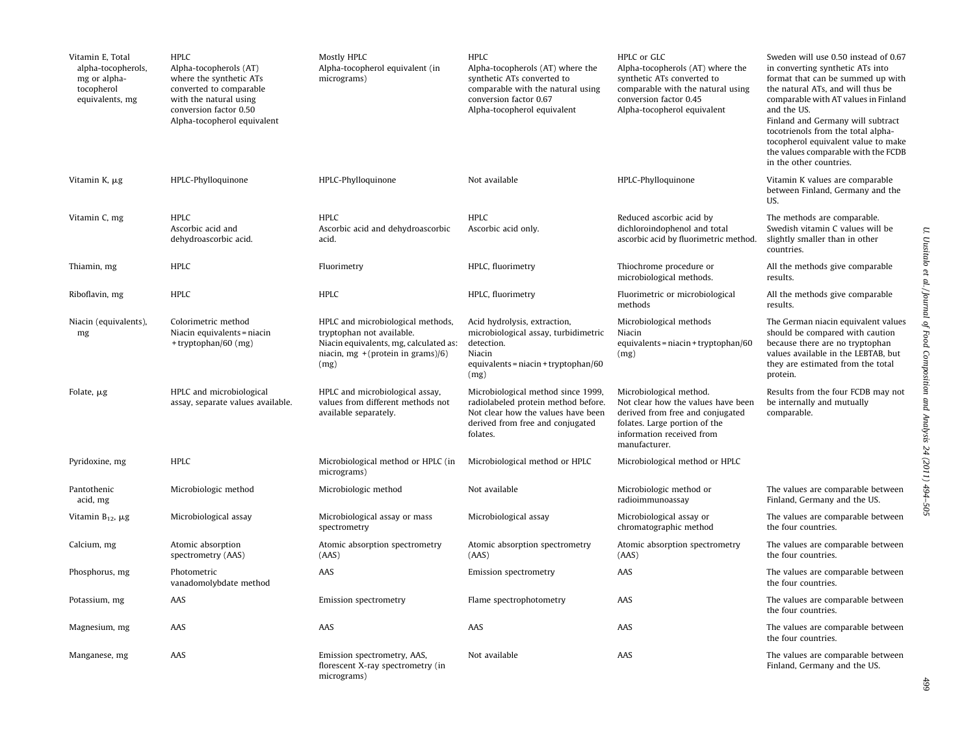| Vitamin E, Total<br>alpha-tocopherols,<br>mg or alpha-<br>tocopherol<br>equivalents, mg | <b>HPLC</b><br>Alpha-tocopherols (AT)<br>where the synthetic ATs<br>converted to comparable<br>with the natural using<br>conversion factor 0.50<br>Alpha-tocopherol equivalent | Mostly HPLC<br>Alpha-tocopherol equivalent (in<br>micrograms)                                                                                          | HPLC<br>Alpha-tocopherols (AT) where the<br>synthetic ATs converted to<br>comparable with the natural using<br>conversion factor 0.67<br>Alpha-tocopherol equivalent | HPLC or GLC<br>Alpha-tocopherols (AT) where the<br>synthetic ATs converted to<br>comparable with the natural using<br>conversion factor 0.45<br>Alpha-tocopherol equivalent      | Sweden will use 0.50 instead of 0.67<br>in converting synthetic ATs into<br>format that can be summed up with<br>the natural ATs, and will thus be<br>comparable with AT values in Finland<br>and the US.<br>Finland and Germany will subtract<br>tocotrienols from the total alpha-<br>tocopherol equivalent value to make<br>the values comparable with the FCDB<br>in the other countries. |
|-----------------------------------------------------------------------------------------|--------------------------------------------------------------------------------------------------------------------------------------------------------------------------------|--------------------------------------------------------------------------------------------------------------------------------------------------------|----------------------------------------------------------------------------------------------------------------------------------------------------------------------|----------------------------------------------------------------------------------------------------------------------------------------------------------------------------------|-----------------------------------------------------------------------------------------------------------------------------------------------------------------------------------------------------------------------------------------------------------------------------------------------------------------------------------------------------------------------------------------------|
| Vitamin K, µg                                                                           | HPLC-Phylloquinone                                                                                                                                                             | HPLC-Phylloquinone                                                                                                                                     | Not available                                                                                                                                                        | HPLC-Phylloquinone                                                                                                                                                               | Vitamin K values are comparable<br>between Finland, Germany and the<br>US.                                                                                                                                                                                                                                                                                                                    |
| Vitamin C, mg                                                                           | <b>HPLC</b><br>Ascorbic acid and<br>dehydroascorbic acid.                                                                                                                      | <b>HPLC</b><br>Ascorbic acid and dehydroascorbic<br>acid.                                                                                              | <b>HPLC</b><br>Ascorbic acid only.                                                                                                                                   | Reduced ascorbic acid by<br>dichloroindophenol and total<br>ascorbic acid by fluorimetric method.                                                                                | The methods are comparable.<br>Swedish vitamin C values will be<br>slightly smaller than in other<br>countries.                                                                                                                                                                                                                                                                               |
| Thiamin, mg                                                                             | HPLC                                                                                                                                                                           | Fluorimetry                                                                                                                                            | HPLC, fluorimetry                                                                                                                                                    | Thiochrome procedure or<br>microbiological methods.                                                                                                                              | All the methods give comparable<br>results.                                                                                                                                                                                                                                                                                                                                                   |
| Riboflavin, mg                                                                          | HPLC                                                                                                                                                                           | <b>HPLC</b>                                                                                                                                            | HPLC, fluorimetry                                                                                                                                                    | Fluorimetric or microbiological<br>methods                                                                                                                                       | All the methods give comparable<br>results.                                                                                                                                                                                                                                                                                                                                                   |
| Niacin (equivalents),<br>mg                                                             | Colorimetric method<br>Niacin equivalents = niacin<br>+ tryptophan/60 (mg)                                                                                                     | HPLC and microbiological methods,<br>tryptophan not available.<br>Niacin equivalents, mg, calculated as:<br>niacin, mg + (protein in grams)/6)<br>(mg) | Acid hydrolysis, extraction,<br>microbiological assay, turbidimetric<br>detection.<br>Niacin<br>equivalents = $niacin + tryptophan/60$<br>(mg)                       | Microbiological methods<br>Niacin<br>equivalents = $niacin + tryptophan/60$<br>(mg)                                                                                              | The German niacin equivalent values<br>should be compared with caution<br>because there are no tryptophan<br>values available in the LEBTAB, but<br>they are estimated from the total<br>protein.                                                                                                                                                                                             |
| Folate, µg                                                                              | HPLC and microbiological<br>assay, separate values available.                                                                                                                  | HPLC and microbiological assay,<br>values from different methods not<br>available separately.                                                          | Microbiological method since 1999,<br>radiolabeled protein method before.<br>Not clear how the values have been<br>derived from free and conjugated<br>folates.      | Microbiological method.<br>Not clear how the values have been<br>derived from free and conjugated<br>folates. Large portion of the<br>information received from<br>manufacturer. | Results from the four FCDB may not<br>be internally and mutually<br>comparable.                                                                                                                                                                                                                                                                                                               |
| Pyridoxine, mg                                                                          | <b>HPLC</b>                                                                                                                                                                    | Microbiological method or HPLC (in<br>micrograms)                                                                                                      | Microbiological method or HPLC                                                                                                                                       | Microbiological method or HPLC                                                                                                                                                   |                                                                                                                                                                                                                                                                                                                                                                                               |
| Pantothenic<br>acid, mg                                                                 | Microbiologic method                                                                                                                                                           | Microbiologic method                                                                                                                                   | Not available                                                                                                                                                        | Microbiologic method or<br>radioimmunoassay                                                                                                                                      | The values are comparable between<br>Finland, Germany and the US.                                                                                                                                                                                                                                                                                                                             |
| Vitamin $B_{12}$ , $\mu$ g                                                              | Microbiological assay                                                                                                                                                          | Microbiological assay or mass<br>spectrometry                                                                                                          | Microbiological assay                                                                                                                                                | Microbiological assay or<br>chromatographic method                                                                                                                               | The values are comparable between<br>the four countries.                                                                                                                                                                                                                                                                                                                                      |
| Calcium, mg                                                                             | Atomic absorption<br>spectrometry (AAS)                                                                                                                                        | Atomic absorption spectrometry<br>(AdS)                                                                                                                | Atomic absorption spectrometry<br>(AdS)                                                                                                                              | Atomic absorption spectrometry<br>(AdS)                                                                                                                                          | The values are comparable between<br>the four countries.                                                                                                                                                                                                                                                                                                                                      |
| Phosphorus, mg                                                                          | Photometric<br>vanadomolybdate method                                                                                                                                          | AAS                                                                                                                                                    | Emission spectrometry                                                                                                                                                | AAS                                                                                                                                                                              | The values are comparable between<br>the four countries.                                                                                                                                                                                                                                                                                                                                      |
| Potassium, mg                                                                           | AAS                                                                                                                                                                            | Emission spectrometry                                                                                                                                  | Flame spectrophotometry                                                                                                                                              | AAS                                                                                                                                                                              | The values are comparable between<br>the four countries.                                                                                                                                                                                                                                                                                                                                      |
| Magnesium, mg                                                                           | AAS                                                                                                                                                                            | AAS                                                                                                                                                    | AAS                                                                                                                                                                  | AAS                                                                                                                                                                              | The values are comparable between<br>the four countries.                                                                                                                                                                                                                                                                                                                                      |
| Manganese, mg                                                                           | AAS                                                                                                                                                                            | Emission spectrometry, AAS,<br>florescent X-ray spectrometry (in<br>micrograms)                                                                        | Not available                                                                                                                                                        | AAS                                                                                                                                                                              | The values are comparable between<br>Finland, Germany and the US.                                                                                                                                                                                                                                                                                                                             |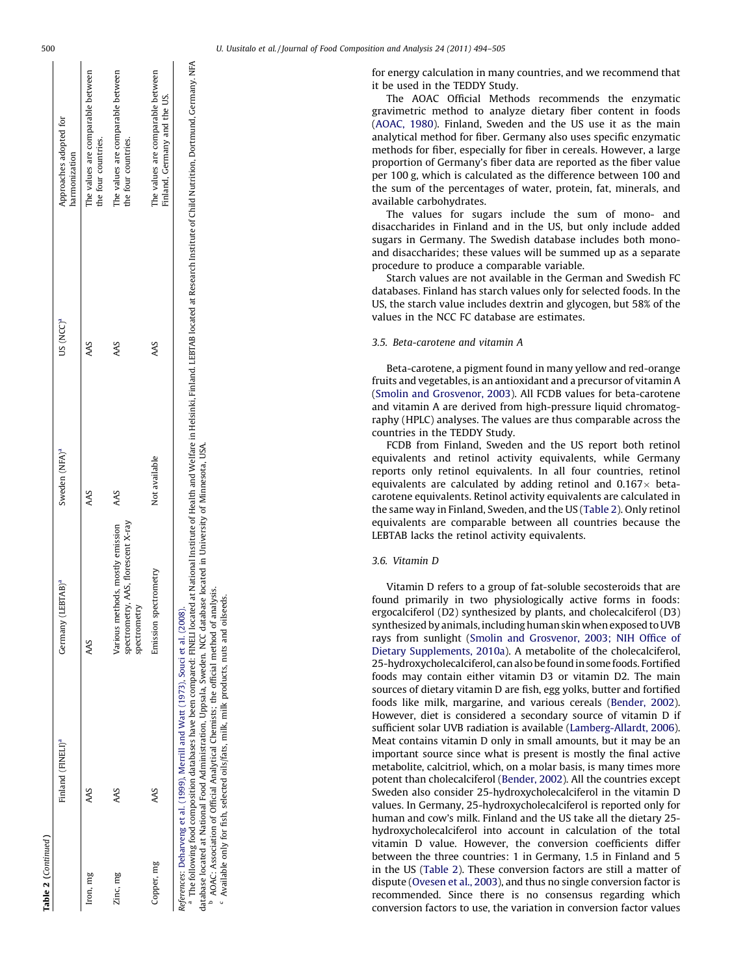| 1      |
|--------|
|        |
|        |
|        |
|        |
|        |
|        |
|        |
|        |
|        |
|        |
|        |
|        |
| r<br>J |
|        |
|        |
|        |

<span id="page-6-0"></span>

| <b>Table 2</b> (Continued) |                                                                                  |                                                                                         |                           |                       | 500                                                               |
|----------------------------|----------------------------------------------------------------------------------|-----------------------------------------------------------------------------------------|---------------------------|-----------------------|-------------------------------------------------------------------|
|                            | Finland (FINELI) <sup>a</sup>                                                    | Germany (LEBTAB) <sup>ª</sup>                                                           | Sweden (NFA) <sup>ª</sup> | US (NCC) <sup>a</sup> | Approaches adopted for<br>harmonization                           |
| Iron, mg                   | AAS                                                                              | AAS                                                                                     | AAS                       | AAS                   | The values are comparable between<br>the four countries.          |
| Zinc, mg                   | AAS                                                                              | Various methods, mostly emission<br>spectrometry, AAS, florescent X-ray<br>spectrometry | AAS                       | AAS                   | The values are comparable between<br>the four countries.          |
| Copper, mg                 | AAS                                                                              | Emission spectrometry                                                                   | Not available             | AAS                   | The values are comparable between<br>Finland, Germany and the US. |
|                            | References: Debarvence et al. (1999) Merrill and Watt (1973) Souci et al. (2008) |                                                                                         |                           |                       |                                                                   |

। ಜ

a The following food composition databases have been compared: FINELI located at National Institute of Health and Welfare in Helsinki, Finland. LEBTAB located at Research Institute of Child Nutrition, Dortmund, Germany. NF References: [Deharveng](#page-10-0) et al. (1999), Merrill and Watt [\(1973\)](#page-10-0), Souci et al. [\(2008\)](#page-10-0).<br>" The following food composition databases have been compared: FINELI located at National Institute, Figure in Helsinki, Finland. LEBTAB lo database located at National Food Administration, Uppsala, Sweden. NCC database located in University of Minnesota, USA. database located at National Food Administration, Uppsala, Sweden. NCC database located in University of Minnesota, USA.

b

AOAC: Association of Official Analytical Chemists; the official method of analysis.<br>Available only for fish, selected oils/fats, milk, milk products, nuts and oilseeds. <sup>o</sup> AOAC: Association of Official Analytical Chemists; the official method of analysis.<br><sup>c</sup> Available only for fish, selected oils/fats, milk, milk products, nuts and oilseeds.

for energy calculation in many countries, and we recommend that it be used in the TEDDY Study.

The AOAC Official Methods recommends the enzymatic gravimetric method to analyze dietary fiber content in foods ([AOAC,](#page-10-0) 1980). Finland, Sweden and the US use it as the main analytical method for fiber. Germany also uses specific enzymatic methods for fiber, especially for fiber in cereals. However, a large proportion of Germany's fiber data are reported as the fiber value per 100 g, which is calculated as the difference between 100 and the sum of the percentages of water, protein, fat, minerals, and available carbohydrates.

The values for sugars include the sum of mono- and disaccharides in Finland and in the US, but only include added sugars in Germany. The Swedish database includes both monoand disaccharides; these values will be summed up as a separate procedure to produce a comparable variable.

Starch values are not available in the German and Swedish FC databases. Finland has starch values only for selected foods. In the US, the starch value includes dextrin and glycogen, but 58% of the values in the NCC FC database are estimates.

### 3.5. Beta-carotene and vitamin A

Beta-carotene, a pigment found in many yellow and red-orange fruits and vegetables, is an antioxidant and a precursor of vitamin A (Smolin and [Grosvenor,](#page-10-0) 2003). All FCDB values for beta-carotene and vitamin A are derived from high-pressure liquid chromatography (HPLC) analyses. The values are thus comparable across the countries in the TEDDY Study.

FCDB from Finland, Sweden and the US report both retinol equivalents and retinol activity equivalents, while Germany reports only retinol equivalents. In all four countries, retinol equivalents are calculated by adding retinol and  $0.167\times$  betacarotene equivalents. Retinol activity equivalents are calculated in the same way in Finland, Sweden, and the US [\(Table](#page-3-0) 2). Only retinol equivalents are comparable between all countries because the LEBTAB lacks the retinol activity equivalents.

#### 3.6. Vitamin D

Vitamin D refers to a group of fat-soluble secosteroids that are found primarily in two physiologically active forms in foods: ergocalciferol (D2) synthesized by plants, and cholecalciferol (D3) synthesized by animals, including human skin when exposed to UVB rays from sunlight (Smolin and [Grosvenor,](#page-10-0) 2003; NIH Office of Dietary [Supplements,](#page-10-0) 2010a). A metabolite of the cholecalciferol, 25-hydroxycholecalciferol, canalsobe foundinsome foods. Fortified foods may contain either vitamin D3 or vitamin D2. The main sources of dietary vitamin D are fish, egg yolks, butter and fortified foods like milk, margarine, and various cereals [\(Bender,](#page-10-0) 2002). However, diet is considered a secondary source of vitamin D if sufficient solar UVB radiation is available ([Lamberg-Allardt,](#page-10-0) 2006). Meat contains vitamin D only in small amounts, but it may be an important source since what is present is mostly the final active metabolite, calcitriol, which, on a molar basis, is many times more potent than cholecalciferol [\(Bender,](#page-10-0) 2002). All the countries except Sweden also consider 25-hydroxycholecalciferol in the vitamin D values. In Germany, 25-hydroxycholecalciferol is reported only for human and cow's milk. Finland and the US take all the dietary 25 hydroxycholecalciferol into account in calculation of the total vitamin D value. However, the conversion coefficients differ between the three countries: 1 in Germany, 1.5 in Finland and 5 in the US ([Table](#page-3-0) 2). These conversion factors are still a matter of dispute ([Ovesen](#page-10-0) et al., 2003), and thus no single conversion factor is recommended. Since there is no consensus regarding which conversion factors to use, the variation in conversion factor values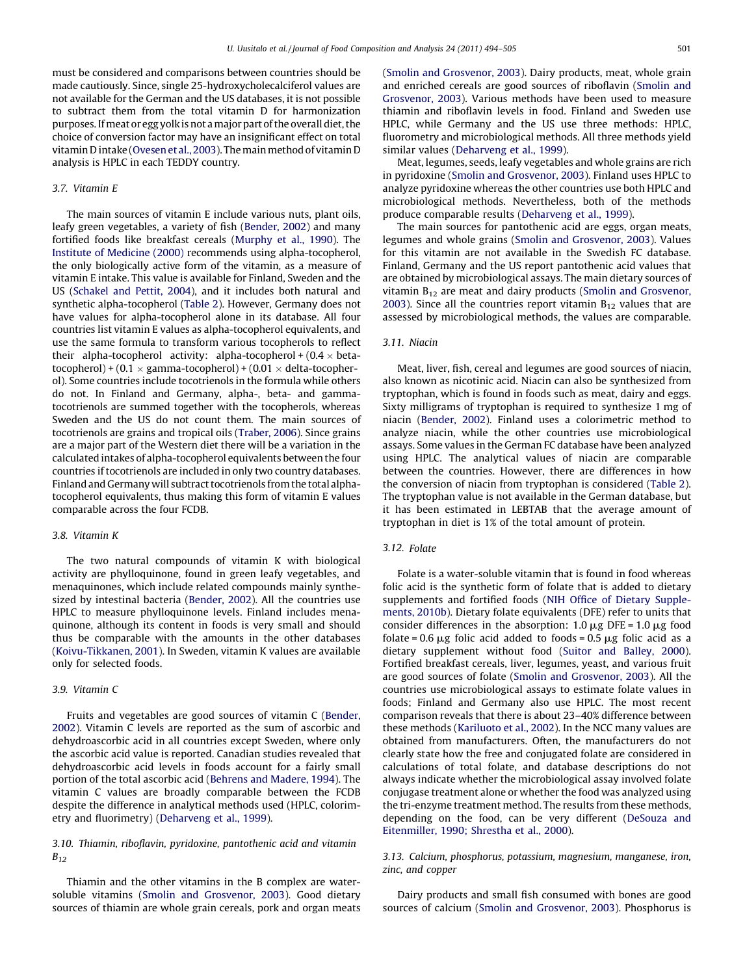must be considered and comparisons between countries should be made cautiously. Since, single 25-hydroxycholecalciferol values are not available for the German and the US databases, it is not possible to subtract them from the total vitamin D for harmonization purposes. If meat or egg yolk is not a major part of the overall diet, the choice of conversion factor may have an insignificant effect on total vitamin D intake (Ovesen et al., 2003). The main method of vitamin D analysis is HPLC in each TEDDY country.

### 3.7. Vitamin E

The main sources of vitamin E include various nuts, plant oils, leafy green vegetables, a variety of fish ([Bender,](#page-10-0) 2002) and many fortified foods like breakfast cereals [\(Murphy](#page-10-0) et al., 1990). The Institute of [Medicine](#page-10-0) (2000) recommends using alpha-tocopherol, the only biologically active form of the vitamin, as a measure of vitamin E intake. This value is available for Finland, Sweden and the US ([Schakel](#page-10-0) and Pettit, 2004), and it includes both natural and synthetic alpha-tocopherol [\(Table](#page-3-0) 2). However, Germany does not have values for alpha-tocopherol alone in its database. All four countries list vitamin E values as alpha-tocopherol equivalents, and use the same formula to transform various tocopherols to reflect their alpha-tocopherol activity: alpha-tocopherol + (0.4  $\times$  betatocopherol) + (0.1  $\times$  gamma-tocopherol) + (0.01  $\times$  delta-tocopherol). Some countries include tocotrienols in the formula while others do not. In Finland and Germany, alpha-, beta- and gammatocotrienols are summed together with the tocopherols, whereas Sweden and the US do not count them. The main sources of tocotrienols are grains and tropical oils [\(Traber,](#page-11-0) 2006). Since grains are a major part of the Western diet there will be a variation in the calculated intakes of alpha-tocopherol equivalents between the four countries iftocotrienols are included in only two country databases. Finland and Germany will subtract tocotrienols from the total alphatocopherol equivalents, thus making this form of vitamin E values comparable across the four FCDB.

#### 3.8. Vitamin K

The two natural compounds of vitamin K with biological activity are phylloquinone, found in green leafy vegetables, and menaquinones, which include related compounds mainly synthesized by intestinal bacteria ([Bender,](#page-10-0) 2002). All the countries use HPLC to measure phylloquinone levels. Finland includes menaquinone, although its content in foods is very small and should thus be comparable with the amounts in the other databases ([Koivu-Tikkanen,](#page-10-0) 2001). In Sweden, vitamin K values are available only for selected foods.

# 3.9. Vitamin C

Fruits and vegetables are good sources of vitamin C ([Bender,](#page-10-0) [2002\)](#page-10-0). Vitamin C levels are reported as the sum of ascorbic and dehydroascorbic acid in all countries except Sweden, where only the ascorbic acid value is reported. Canadian studies revealed that dehydroascorbic acid levels in foods account for a fairly small portion of the total ascorbic acid (Behrens and [Madere,](#page-10-0) 1994). The vitamin C values are broadly comparable between the FCDB despite the difference in analytical methods used (HPLC, colorimetry and fluorimetry) [\(Deharveng](#page-10-0) et al., 1999).

# 3.10. Thiamin, riboflavin, pyridoxine, pantothenic acid and vitamin  $B_{12}$

Thiamin and the other vitamins in the B complex are watersoluble vitamins (Smolin and [Grosvenor,](#page-10-0) 2003). Good dietary sources of thiamin are whole grain cereals, pork and organ meats (Smolin and [Grosvenor,](#page-10-0) 2003). Dairy products, meat, whole grain and enriched cereals are good sources of riboflavin [\(Smolin](#page-10-0) and [Grosvenor,](#page-10-0) 2003). Various methods have been used to measure thiamin and riboflavin levels in food. Finland and Sweden use HPLC, while Germany and the US use three methods: HPLC, fluorometry and microbiological methods. All three methods yield similar values ([Deharveng](#page-10-0) et al., 1999).

Meat, legumes, seeds, leafy vegetables and whole grains are rich in pyridoxine (Smolin and [Grosvenor,](#page-10-0) 2003). Finland uses HPLC to analyze pyridoxine whereas the other countries use both HPLC and microbiological methods. Nevertheless, both of the methods produce comparable results ([Deharveng](#page-10-0) et al., 1999).

The main sources for pantothenic acid are eggs, organ meats, legumes and whole grains (Smolin and [Grosvenor,](#page-10-0) 2003). Values for this vitamin are not available in the Swedish FC database. Finland, Germany and the US report pantothenic acid values that are obtained by microbiological assays. The main dietary sources of vitamin  $B_{12}$  are meat and dairy products (Smolin and [Grosvenor,](#page-10-0) [2003\)](#page-10-0). Since all the countries report vitamin  $B_{12}$  values that are assessed by microbiological methods, the values are comparable.

#### 3.11. Niacin

Meat, liver, fish, cereal and legumes are good sources of niacin, also known as nicotinic acid. Niacin can also be synthesized from tryptophan, which is found in foods such as meat, dairy and eggs. Sixty milligrams of tryptophan is required to synthesize 1 mg of niacin ([Bender,](#page-10-0) 2002). Finland uses a colorimetric method to analyze niacin, while the other countries use microbiological assays. Some values in the German FC database have been analyzed using HPLC. The analytical values of niacin are comparable between the countries. However, there are differences in how the conversion of niacin from tryptophan is considered ([Table](#page-3-0) 2). The tryptophan value is not available in the German database, but it has been estimated in LEBTAB that the average amount of tryptophan in diet is 1% of the total amount of protein.

#### 3.12. Folate

Folate is a water-soluble vitamin that is found in food whereas folic acid is the synthetic form of folate that is added to dietary supplements and fortified foods (NIH Office of Dietary [Supple](#page-10-0)[ments,](#page-10-0) 2010b). Dietary folate equivalents (DFE) refer to units that consider differences in the absorption:  $1.0 \mu g$  DFE =  $1.0 \mu g$  food folate =  $0.6 \mu$ g folic acid added to foods =  $0.5 \mu$ g folic acid as a dietary supplement without food (Suitor and [Balley,](#page-10-0) 2000). Fortified breakfast cereals, liver, legumes, yeast, and various fruit are good sources of folate (Smolin and [Grosvenor,](#page-10-0) 2003). All the countries use microbiological assays to estimate folate values in foods; Finland and Germany also use HPLC. The most recent comparison reveals that there is about 23–40% difference between these methods ([Kariluoto](#page-10-0) et al., 2002). In the NCC many values are obtained from manufacturers. Often, the manufacturers do not clearly state how the free and conjugated folate are considered in calculations of total folate, and database descriptions do not always indicate whether the microbiological assay involved folate conjugase treatment alone or whether the food was analyzed using the tri-enzyme treatment method. The results from these methods, depending on the food, can be very different [\(DeSouza](#page-10-0) and [Eitenmiller,](#page-10-0) 1990; Shrestha et al., 2000).

### 3.13. Calcium, phosphorus, potassium, magnesium, manganese, iron, zinc, and copper

Dairy products and small fish consumed with bones are good sources of calcium (Smolin and [Grosvenor,](#page-10-0) 2003). Phosphorus is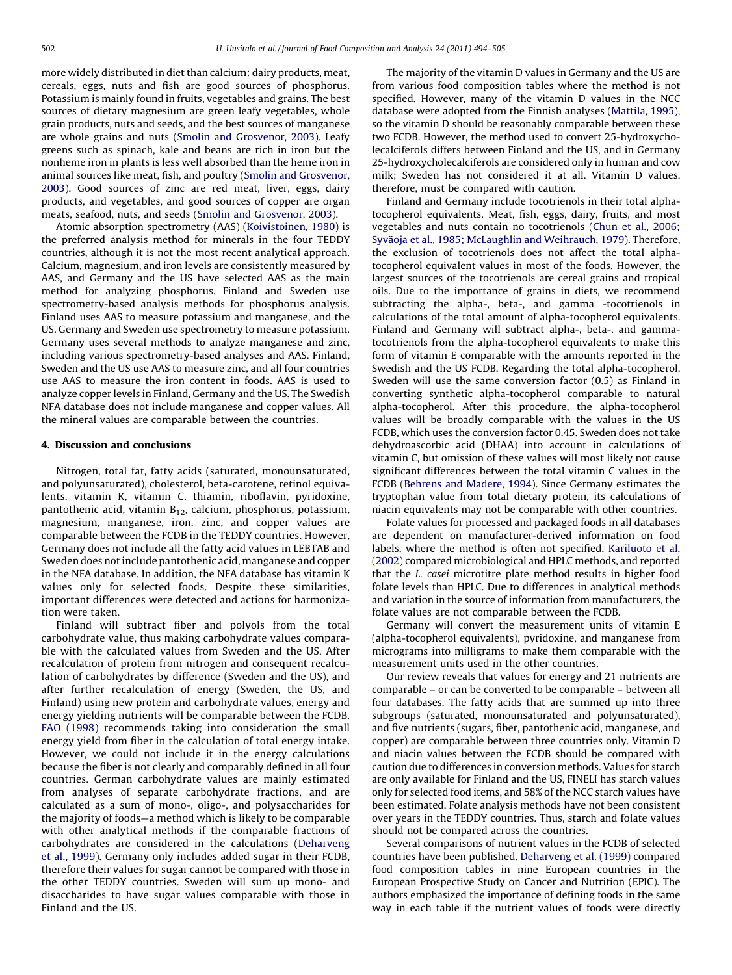more widely distributed in diet than calcium: dairy products, meat, cereals, eggs, nuts and fish are good sources of phosphorus. Potassium is mainly found in fruits, vegetables and grains. The best sources of dietary magnesium are green leafy vegetables, whole grain products, nuts and seeds, and the best sources of manganese are whole grains and nuts (Smolin and [Grosvenor,](#page-10-0) 2003). Leafy greens such as spinach, kale and beans are rich in iron but the nonheme iron in plants is less well absorbed than the heme iron in animal sources like meat, fish, and poultry (Smolin and [Grosvenor,](#page-10-0) [2003\)](#page-10-0). Good sources of zinc are red meat, liver, eggs, dairy products, and vegetables, and good sources of copper are organ meats, seafood, nuts, and seeds (Smolin and [Grosvenor,](#page-10-0) 2003).

Atomic absorption spectrometry (AAS) ([Koivistoinen,](#page-10-0) 1980) is the preferred analysis method for minerals in the four TEDDY countries, although it is not the most recent analytical approach. Calcium, magnesium, and iron levels are consistently measured by AAS, and Germany and the US have selected AAS as the main method for analyzing phosphorus. Finland and Sweden use spectrometry-based analysis methods for phosphorus analysis. Finland uses AAS to measure potassium and manganese, and the US. Germany and Sweden use spectrometry to measure potassium. Germany uses several methods to analyze manganese and zinc, including various spectrometry-based analyses and AAS. Finland, Sweden and the US use AAS to measure zinc, and all four countries use AAS to measure the iron content in foods. AAS is used to analyze copper levels in Finland, Germany and the US. The Swedish NFA database does not include manganese and copper values. All the mineral values are comparable between the countries.

#### 4. Discussion and conclusions

Nitrogen, total fat, fatty acids (saturated, monounsaturated, and polyunsaturated), cholesterol, beta-carotene, retinol equivalents, vitamin K, vitamin C, thiamin, riboflavin, pyridoxine, pantothenic acid, vitamin  $B_{12}$ , calcium, phosphorus, potassium, magnesium, manganese, iron, zinc, and copper values are comparable between the FCDB in the TEDDY countries. However, Germany does not include all the fatty acid values in LEBTAB and Sweden does not include pantothenic acid, manganese and copper in the NFA database. In addition, the NFA database has vitamin K values only for selected foods. Despite these similarities, important differences were detected and actions for harmonization were taken.

Finland will subtract fiber and polyols from the total carbohydrate value, thus making carbohydrate values comparable with the calculated values from Sweden and the US. After recalculation of protein from nitrogen and consequent recalculation of carbohydrates by difference (Sweden and the US), and after further recalculation of energy (Sweden, the US, and Finland) using new protein and carbohydrate values, energy and energy yielding nutrients will be comparable between the FCDB. FAO [\(1998\)](#page-10-0) recommends taking into consideration the small energy yield from fiber in the calculation of total energy intake. However, we could not include it in the energy calculations because the fiber is not clearly and comparably defined in all four countries. German carbohydrate values are mainly estimated from analyses of separate carbohydrate fractions, and are calculated as a sum of mono-, oligo-, and polysaccharides for the majority of foods—a method which is likely to be comparable with other analytical methods if the comparable fractions of carbohydrates are considered in the calculations ([Deharveng](#page-10-0) et al., [1999\)](#page-10-0). Germany only includes added sugar in their FCDB, therefore their values for sugar cannot be compared with those in the other TEDDY countries. Sweden will sum up mono- and disaccharides to have sugar values comparable with those in Finland and the US.

The majority of the vitamin D values in Germany and the US are from various food composition tables where the method is not specified. However, many of the vitamin D values in the NCC database were adopted from the Finnish analyses ([Mattila,](#page-10-0) 1995), so the vitamin D should be reasonably comparable between these two FCDB. However, the method used to convert 25-hydroxycholecalciferols differs between Finland and the US, and in Germany 25-hydroxycholecalciferols are considered only in human and cow milk; Sweden has not considered it at all. Vitamin D values, therefore, must be compared with caution.

Finland and Germany include tocotrienols in their total alphatocopherol equivalents. Meat, fish, eggs, dairy, fruits, and most vegetables and nuts contain no tocotrienols (Chun et al., [2006;](#page-10-0) Syväoja et al., 1985; [McLaughlin](#page-10-0) and Weihrauch, 1979). Therefore, the exclusion of tocotrienols does not affect the total alphatocopherol equivalent values in most of the foods. However, the largest sources of the tocotrienols are cereal grains and tropical oils. Due to the importance of grains in diets, we recommend subtracting the alpha-, beta-, and gamma -tocotrienols in calculations of the total amount of alpha-tocopherol equivalents. Finland and Germany will subtract alpha-, beta-, and gammatocotrienols from the alpha-tocopherol equivalents to make this form of vitamin E comparable with the amounts reported in the Swedish and the US FCDB. Regarding the total alpha-tocopherol, Sweden will use the same conversion factor (0.5) as Finland in converting synthetic alpha-tocopherol comparable to natural alpha-tocopherol. After this procedure, the alpha-tocopherol values will be broadly comparable with the values in the US FCDB, which uses the conversion factor 0.45. Sweden does not take dehydroascorbic acid (DHAA) into account in calculations of vitamin C, but omission of these values will most likely not cause significant differences between the total vitamin C values in the FCDB (Behrens and [Madere,](#page-10-0) 1994). Since Germany estimates the tryptophan value from total dietary protein, its calculations of niacin equivalents may not be comparable with other countries.

Folate values for processed and packaged foods in all databases are dependent on manufacturer-derived information on food labels, where the method is often not specified. [Kariluoto](#page-10-0) et al. [\(2002\)](#page-10-0) compared microbiological and HPLC methods, and reported that the L. casei microtitre plate method results in higher food folate levels than HPLC. Due to differences in analytical methods and variation in the source of information from manufacturers, the folate values are not comparable between the FCDB.

Germany will convert the measurement units of vitamin E (alpha-tocopherol equivalents), pyridoxine, and manganese from micrograms into milligrams to make them comparable with the measurement units used in the other countries.

Our review reveals that values for energy and 21 nutrients are comparable – or can be converted to be comparable – between all four databases. The fatty acids that are summed up into three subgroups (saturated, monounsaturated and polyunsaturated), and five nutrients (sugars, fiber, pantothenic acid, manganese, and copper) are comparable between three countries only. Vitamin D and niacin values between the FCDB should be compared with caution due to differences in conversion methods. Values for starch are only available for Finland and the US, FINELI has starch values only for selected food items, and 58% of the NCC starch values have been estimated. Folate analysis methods have not been consistent over years in the TEDDY countries. Thus, starch and folate values should not be compared across the countries.

Several comparisons of nutrient values in the FCDB of selected countries have been published. [Deharveng](#page-10-0) et al. (1999) compared food composition tables in nine European countries in the European Prospective Study on Cancer and Nutrition (EPIC). The authors emphasized the importance of defining foods in the same way in each table if the nutrient values of foods were directly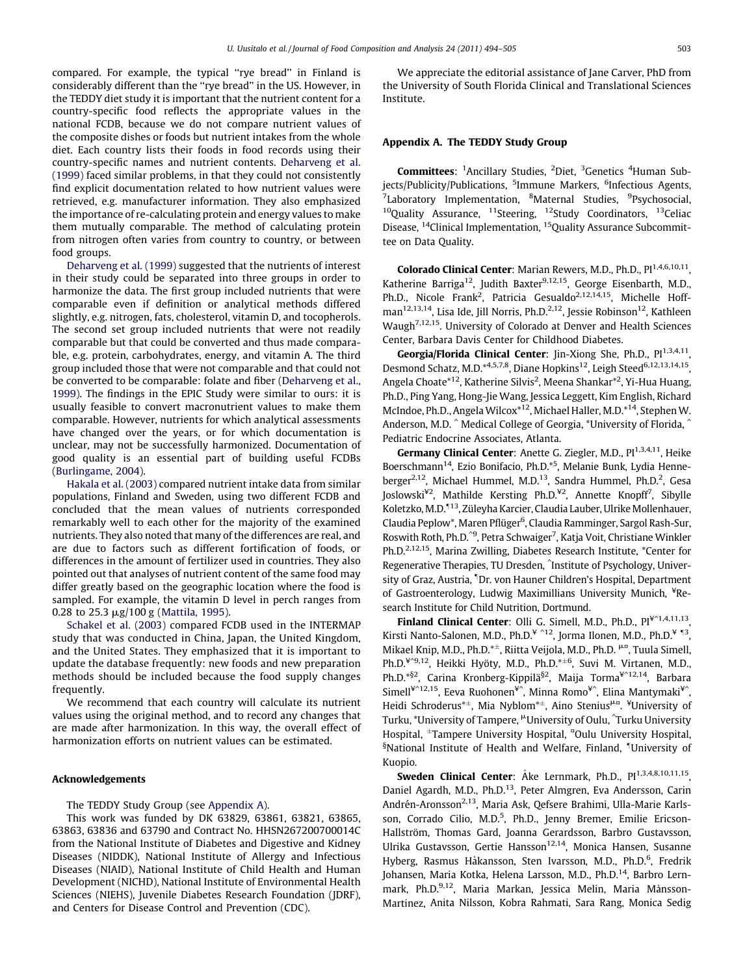<span id="page-9-0"></span>compared. For example, the typical "rye bread" in Finland is considerably different than the ''rye bread'' in the US. However, in the TEDDY diet study it is important that the nutrient content for a country-specific food reflects the appropriate values in the national FCDB, because we do not compare nutrient values of the composite dishes or foods but nutrient intakes from the whole diet. Each country lists their foods in food records using their country-specific names and nutrient contents. [Deharveng](#page-10-0) et al. [\(1999\)](#page-10-0) faced similar problems, in that they could not consistently find explicit documentation related to how nutrient values were retrieved, e.g. manufacturer information. They also emphasized the importance of re-calculating protein and energy values to make them mutually comparable. The method of calculating protein from nitrogen often varies from country to country, or between food groups.

[Deharveng](#page-10-0) et al. (1999) suggested that the nutrients of interest in their study could be separated into three groups in order to harmonize the data. The first group included nutrients that were comparable even if definition or analytical methods differed slightly, e.g. nitrogen, fats, cholesterol, vitamin D, and tocopherols. The second set group included nutrients that were not readily comparable but that could be converted and thus made comparable, e.g. protein, carbohydrates, energy, and vitamin A. The third group included those that were not comparable and that could not be converted to be comparable: folate and fiber ([Deharveng](#page-10-0) et al., [1999\)](#page-10-0). The findings in the EPIC Study were similar to ours: it is usually feasible to convert macronutrient values to make them comparable. However, nutrients for which analytical assessments have changed over the years, or for which documentation is unclear, may not be successfully harmonized. Documentation of good quality is an essential part of building useful FCDBs ([Burlingame,](#page-10-0) 2004).

[Hakala](#page-10-0) et al. (2003) compared nutrient intake data from similar populations, Finland and Sweden, using two different FCDB and concluded that the mean values of nutrients corresponded remarkably well to each other for the majority of the examined nutrients. They also noted that many of the differences are real, and are due to factors such as different fortification of foods, or differences in the amount of fertilizer used in countries. They also pointed out that analyses of nutrient content of the same food may differ greatly based on the geographic location where the food is sampled. For example, the vitamin D level in perch ranges from 0.28 to 25.3  $\mu$ g/100 g [\(Mattila,](#page-10-0) 1995).

[Schakel](#page-10-0) et al. (2003) compared FCDB used in the INTERMAP study that was conducted in China, Japan, the United Kingdom, and the United States. They emphasized that it is important to update the database frequently: new foods and new preparation methods should be included because the food supply changes frequently.

We recommend that each country will calculate its nutrient values using the original method, and to record any changes that are made after harmonization. In this way, the overall effect of harmonization efforts on nutrient values can be estimated.

### Acknowledgements

The TEDDY Study Group (see Appendix A).

This work was funded by DK 63829, 63861, 63821, 63865, 63863, 63836 and 63790 and Contract No. HHSN267200700014C from the National Institute of Diabetes and Digestive and Kidney Diseases (NIDDK), National Institute of Allergy and Infectious Diseases (NIAID), National Institute of Child Health and Human Development (NICHD), National Institute of Environmental Health Sciences (NIEHS), Juvenile Diabetes Research Foundation (JDRF), and Centers for Disease Control and Prevention (CDC).

We appreciate the editorial assistance of Jane Carver, PhD from the University of South Florida Clinical and Translational Sciences Institute.

## Appendix A. The TEDDY Study Group

Committees: <sup>1</sup>Ancillary Studies, <sup>2</sup>Diet, <sup>3</sup>Genetics <sup>4</sup>Human Subjects/Publicity/Publications, <sup>5</sup>Immune Markers, <sup>6</sup>Infectious Agents, <sup>7</sup>Laboratory Implementation, <sup>8</sup>Maternal Studies, <sup>9</sup>Psychosocial, <sup>10</sup>Quality Assurance, <sup>11</sup>Steering, <sup>12</sup>Study Coordinators, <sup>13</sup>Celiac Disease, <sup>14</sup>Clinical Implementation, <sup>15</sup>Quality Assurance Subcommittee on Data Quality.

Colorado Clinical Center: Marian Rewers, M.D., Ph.D., Pl<sup>1,4,6,10,11</sup>. Katherine Barriga<sup>12</sup>, Judith Baxter<sup>9,12,15</sup>, George Eisenbarth, M.D., Ph.D., Nicole Frank<sup>2</sup>, Patricia Gesualdo<sup>2,12,14,15</sup>, Michelle Hoffman<sup>12,13,14</sup>, Lisa Ide, Jill Norris, Ph.D.<sup>2,12</sup>, Jessie Robinson<sup>12</sup>, Kathleen Waugh7,12,15. University of Colorado at Denver and Health Sciences Center, Barbara Davis Center for Childhood Diabetes.

Georgia/Florida Clinical Center: Jin-Xiong She, Ph.D., Pl<sup>1,3,4,11</sup>, Desmond Schatz, M.D.\*4,5,7,8, Diane Hopkins<sup>12</sup>, Leigh Steed<sup>6,12,13,14,15</sup>, Angela Choate\*<sup>12</sup>, Katherine Silvis<sup>2</sup>, Meena Shankar\*<sup>2</sup>, Yi-Hua Huang, Ph.D., Ping Yang, Hong-Jie Wang, Jessica Leggett, Kim English, Richard McIndoe, Ph.D., Angela Wilcox\*12, Michael Haller, M.D.\*14, Stephen W. Anderson, M.D.  $\hat{ }$  Medical College of Georgia, \*University of Florida,  $\hat{ }$ Pediatric Endocrine Associates, Atlanta.

Germany Clinical Center: Anette G. Ziegler, M.D., PI<sup>1,3,4,11</sup>, Heike Boerschmann<sup>14</sup>, Ezio Bonifacio, Ph.D.<sup>\*5</sup>, Melanie Bunk, Lydia Henneberger<sup>2,12</sup>, Michael Hummel, M.D.<sup>13</sup>, Sandra Hummel, Ph.D.<sup>2</sup>, Gesa Joslowski<sup>¥2</sup>, Mathilde Kersting Ph.D.<sup>¥2</sup>, Annette Knopff<sup>7</sup>, Sibylle Koletzko, M.D.<sup>113</sup>, Züleyha Karcier, Claudia Lauber, Ulrike Mollenhauer, Claudia Peplow\*, Maren Pflüger<sup>6</sup>, Claudia Ramminger, Sargol Rash-Sur, Roswith Roth, Ph.D.<sup>^9</sup>, Petra Schwaiger<sup>7</sup>, Katja Voit, Christiane Winkler Ph.D.2,12,15, Marina Zwilling, Diabetes Research Institute, \*Center for Regenerative Therapies, TU Dresden, <sup>^</sup>Institute of Psychology, University of Graz, Austria, <sup>¶</sup>Dr. von Hauner Children's Hospital, Department of Gastroenterology, Ludwig Maximillians University Munich, <sup>¥</sup>Research Institute for Child Nutrition, Dortmund.

Finland Clinical Center: Olli G. Simell, M.D., Ph.D., Pl<sup>¥^1,4,11,13</sup>. Kirsti Nanto-Salonen, M.D., Ph.D.<sup>¥ ^12</sup>, Jorma Ilonen, M.D., Ph.D.<sup>¥</sup> <sup>¶3</sup>, Mikael Knip, M.D., Ph.D.\*<sup>±</sup>, Riitta Veijola, M.D., Ph.D. <sup>µ¤</sup>, Tuula Simell, Ph.D.<sup>¥^9,12</sup>, Heikki Hyöty, M.D., Ph.D.<sup>\*±6</sup>, Suvi M. Virtanen, M.D., Ph.D.\*<sup>§2</sup>, Carina Kronberg-Kippilä<sup>§2</sup>, Maija Torma<sup>¥^12,14</sup>, Barbara Simell<sup>¥^12,15</sup>, Eeva Ruohonen<sup>¥^</sup>, Minna Romo<sup>¥^</sup>, Elina Mantymaki<sup>¥^</sup>, Heidi Schroderus<sup>\*±</sup>, Mia Nyblom<sup>\*±</sup>, Aino Stenius<sup>µ¤</sup>. <sup>¥</sup>University of Turku, \*University of Tampere, <sup>µ</sup>University of Oulu, ^Turku University Hospital, <sup>±</sup>Tampere University Hospital, <sup>¤</sup>Oulu University Hospital, <sup>§</sup>National Institute of Health and Welfare, Finland, <sup>¶</sup>University of Kuopio.

Sweden Clinical Center: Åke Lernmark, Ph.D., PI<sup>1,3,4,8,10,11,15</sup>, Daniel Agardh, M.D., Ph.D.13, Peter Almgren, Eva Andersson, Carin Andrén-Aronsson<sup>2,13</sup>, Maria Ask, Qefsere Brahimi, Ulla-Marie Karlsson, Corrado Cilio, M.D.<sup>5</sup>, Ph.D., Jenny Bremer, Emilie Ericson-Hallström, Thomas Gard, Joanna Gerardsson, Barbro Gustavsson, Ulrika Gustavsson, Gertie Hansson<sup>12,14</sup>, Monica Hansen, Susanne Hyberg, Rasmus Håkansson, Sten Ivarsson, M.D., Ph.D.<sup>6</sup>, Fredrik Johansen, Maria Kotka, Helena Larsson, M.D., Ph.D.<sup>14</sup>, Barbro Lernmark, Ph.D.<sup>9,12</sup>, Maria Markan, Jessica Melin, Maria Månsson-Martinez, Anita Nilsson, Kobra Rahmati, Sara Rang, Monica Sedig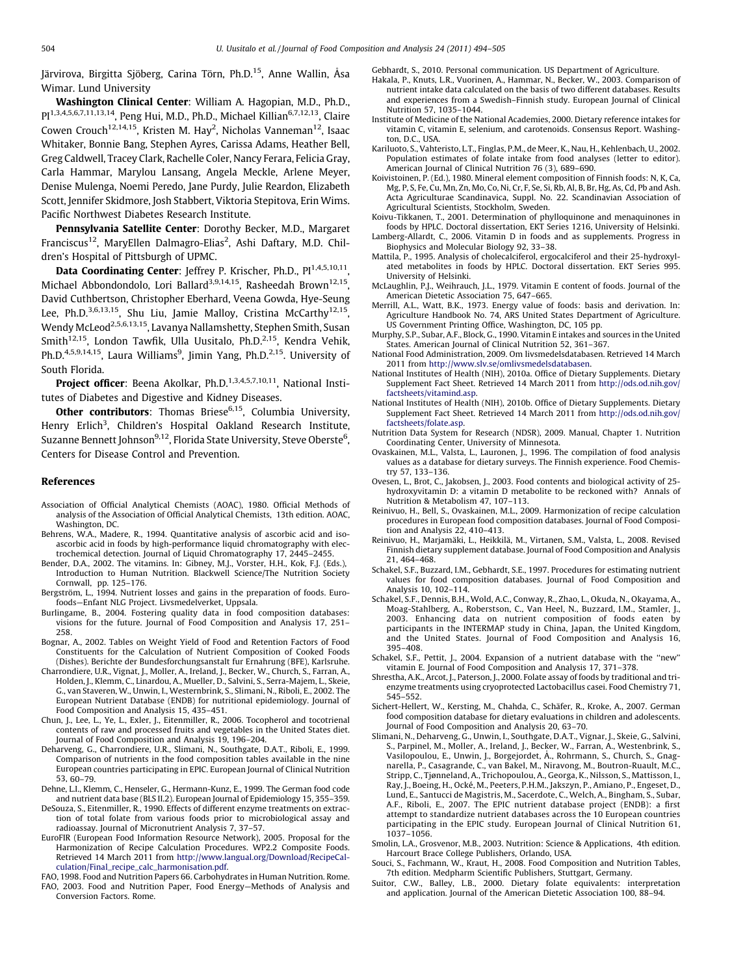<span id="page-10-0"></span>Järvirova, Birgitta Sjöberg, Carina Törn, Ph.D.<sup>15</sup>, Anne Wallin, Åsa Wimar. Lund University

Washington Clinical Center: William A. Hagopian, M.D., Ph.D., PI<sup>1,3,4,5,6,7,11,13,14</sup>, Peng Hui, M.D., Ph.D., Michael Killian<sup>6,7,12,13</sup>, Claire Cowen Crouch<sup>12,14,15</sup>, Kristen M. Hay<sup>2</sup>, Nicholas Vanneman<sup>12</sup>, Isaac Whitaker, Bonnie Bang, Stephen Ayres, Carissa Adams, Heather Bell, Greg Caldwell, Tracey Clark, Rachelle Coler, Nancy Ferara, Felicia Gray, Carla Hammar, Marylou Lansang, Angela Meckle, Arlene Meyer, Denise Mulenga, Noemi Peredo, Jane Purdy, Julie Reardon, Elizabeth Scott, Jennifer Skidmore, Josh Stabbert, Viktoria Stepitova, Erin Wims. Pacific Northwest Diabetes Research Institute.

Pennsylvania Satellite Center: Dorothy Becker, M.D., Margaret Franciscus<sup>12</sup>, MaryEllen Dalmagro-Elias<sup>2</sup>, Ashi Daftary, M.D. Children's Hospital of Pittsburgh of UPMC.

Data Coordinating Center: Jeffrey P. Krischer, Ph.D., Pl<sup>1,4,5,10,11</sup>, Michael Abbondondolo, Lori Ballard<sup>3,9,14,15</sup>, Rasheedah Brown<sup>12,15</sup>, David Cuthbertson, Christopher Eberhard, Veena Gowda, Hye-Seung Lee, Ph.D.<sup>3,6,13,15</sup>, Shu Liu, Jamie Malloy, Cristina McCarthy<sup>12,15</sup>, Wendy McLeod<sup>2,5,6,13,15</sup>, Lavanya Nallamshetty, Stephen Smith, Susan Smith<sup>12,15</sup>, London Tawfik, Ulla Uusitalo, Ph.D.<sup>2,15</sup>, Kendra Vehik, Ph.D.<sup>4,5,9,14,15</sup>, Laura Williams<sup>9</sup>, Jimin Yang, Ph.D.<sup>2,15</sup>. University of South Florida.

**Project officer:** Beena Akolkar, Ph.D.<sup>1,3,4,5,7,10,11</sup>, National Institutes of Diabetes and Digestive and Kidney Diseases.

Other contributors: Thomas Briese<sup>6,15</sup>, Columbia University, Henry Erlich<sup>3</sup>, Children's Hospital Oakland Research Institute, Suzanne Bennett Johnson<sup>9,12</sup>, Florida State University, Steve Oberste<sup>6</sup>, Centers for Disease Control and Prevention.

#### References

- Association of Official Analytical Chemists (AOAC), 1980. Official Methods of analysis of the Association of Official Analytical Chemists, 13th edition. AOAC, Washington, DC.
- Behrens, W.A., Madere, R., 1994. Quantitative analysis of ascorbic acid and isoascorbic acid in foods by high-performance liquid chromatography with electrochemical detection. Journal of Liquid Chromatography 17, 2445–2455.
- Bender, D.A., 2002. The vitamins. In: Gibney, M.J., Vorster, H.H., Kok, F.J. (Eds.), Introduction to Human Nutrition. Blackwell Science/The Nutrition Society Cornwall, pp. 125–176.
- Bergström, L., 1994. Nutrient losses and gains in the preparation of foods. Eurofoods—Enfant NLG Project. Livsmedelverket, Uppsala.
- Burlingame, B., 2004. Fostering quality data in food composition databases: visions for the future. Journal of Food Composition and Analysis 17, 251– 258.
- Bognar, A., 2002. Tables on Weight Yield of Food and Retention Factors of Food Constituents for the Calculation of Nutrient Composition of Cooked Foods (Dishes). Berichte der Bundesforchungsanstalt fur Ernahrung (BFE), Karlsruhe.
- Charrondiere, U.R., Vignat, J., Moller, A., Ireland, J., Becker, W., Church, S., Farran, A., Holden, J., Klemm, C., Linardou, A., Mueller, D., Salvini, S., Serra-Majem, L., Skeie, G., van Staveren, W., Unwin, I., Westernbrink, S., Slimani, N., Riboli, E., 2002. The European Nutrient Database (ENDB) for nutritional epidemiology. Journal of Food Composition and Analysis 15, 435–451.
- Chun, J., Lee, L., Ye, L., Exler, J., Eitenmiller, R., 2006. Tocopherol and tocotrienal contents of raw and processed fruits and vegetables in the United States diet. Journal of Food Composition and Analysis 19, 196–204.
- Deharveng, G., Charrondiere, U.R., Slimani, N., Southgate, D.A.T., Riboli, E., 1999. Comparison of nutrients in the food composition tables available in the nine European countries participating in EPIC. European Journal of Clinical Nutrition 53, 60–79.
- Dehne, L.I., Klemm, C., Henseler, G., Hermann-Kunz, E., 1999. The German food code and nutrient data base (BLS II.2). European Journal of Epidemiology 15, 355–359.
- DeSouza, S., Eitenmiller, R., 1990. Effects of different enzyme treatments on extraction of total folate from various foods prior to microbiological assay and radioassay. Journal of Micronutrient Analysis 7, 37–57.
- EuroFIR (European Food Information Resource Network), 2005. Proposal for the Harmonization of Recipe Calculation Procedures. WP2.2 Composite Foods. Retrieved 14 March 2011 from [http://www.langual.org/Download/RecipeCal](http://www.langual.org/Download/RecipeCalculation/Final_recipe_calc_harmonisation.pdf)[culation/Final\\_recipe\\_calc\\_harmonisation.pdf](http://www.langual.org/Download/RecipeCalculation/Final_recipe_calc_harmonisation.pdf).

FAO, 1998. Food and Nutrition Papers 66. Carbohydrates in Human Nutrition. Rome. FAO, 2003. Food and Nutrition Paper, Food Energy—Methods of Analysis and Conversion Factors. Rome.

Gebhardt, S., 2010. Personal communication. US Department of Agriculture.

- Hakala, P., Knuts, L.R., Vuorinen, A., Hammar, N., Becker, W., 2003. Comparison of nutrient intake data calculated on the basis of two different databases. Results and experiences from a Swedish–Finnish study. European Journal of Clinical Nutrition 57, 1035–1044.
- Institute of Medicine of the National Academies, 2000. Dietary reference intakes for vitamin C, vitamin E, selenium, and carotenoids. Consensus Report. Washington, D.C., USA.
- Kariluoto, S., Vahteristo, L.T., Finglas, P.M., de Meer, K., Nau, H., Kehlenbach, U., 2002. Population estimates of folate intake from food analyses (letter to editor). American Journal of Clinical Nutrition 76 (3), 689–690.
- Koivistoinen, P. (Ed.), 1980. Mineral element composition of Finnish foods: N, K, Ca, Mg, P, S, Fe, Cu, Mn, Zn, Mo, Co, Ni, Cr, F, Se, Si, Rb, Al, B, Br, Hg, As, Cd, Pb and Ash. Acta Agriculturae Scandinavica, Suppl. No. 22. Scandinavian Association of Agricultural Scientists, Stockholm, Sweden.
- Koivu-Tikkanen, T., 2001. Determination of phylloquinone and menaquinones in foods by HPLC. Doctoral dissertation, EKT Series 1216, University of Helsinki.
- Lamberg-Allardt, C., 2006. Vitamin D in foods and as supplements. Progress in Biophysics and Molecular Biology 92, 33–38.
- Mattila, P., 1995. Analysis of cholecalciferol, ergocalciferol and their 25-hydroxylated metabolites in foods by HPLC. Doctoral dissertation. EKT Series 995. University of Helsinki.
- McLaughlin, P.J., Weihrauch, J.L., 1979. Vitamin E content of foods. Journal of the American Dietetic Association 75, 647–665.
- Merrill, A.L., Watt, B.K., 1973. Energy value of foods: basis and derivation. In: Agriculture Handbook No. 74, ARS United States Department of Agriculture. US Government Printing Office, Washington, DC, 105 pp.
- Murphy, S.P., Subar, A.F., Block, G., 1990. Vitamin E intakes and sources in the United States. American Journal of Clinical Nutrition 52, 361–367.
- National Food Administration, 2009. Om livsmedelsdatabasen. Retrieved 14 March 2011 from <http://www.slv.se/omlivsmedelsdatabasen>.
- National Institutes of Health (NIH), 2010a. Office of Dietary Supplements. Dietary Supplement Fact Sheet. Retrieved 14 March 2011 from [http://ods.od.nih.gov/](http://ods.od.nih.gov/factsheets/vitamind.asp) [factsheets/vitamind.asp](http://ods.od.nih.gov/factsheets/vitamind.asp).
- National Institutes of Health (NIH), 2010b. Office of Dietary Supplements. Dietary Supplement Fact Sheet. Retrieved 14 March 2011 from [http://ods.od.nih.gov/](http://ods.od.nih.gov/factsheets/folate.asp) [factsheets/folate.asp.](http://ods.od.nih.gov/factsheets/folate.asp)
- Nutrition Data System for Research (NDSR), 2009. Manual, Chapter 1. Nutrition Coordinating Center, University of Minnesota.
- Ovaskainen, M.L., Valsta, L., Lauronen, J., 1996. The compilation of food analysis values as a database for dietary surveys. The Finnish experience. Food Chemistry 57, 133–136.
- Ovesen, L., Brot, C., Jakobsen, J., 2003. Food contents and biological activity of 25 hydroxyvitamin D: a vitamin D metabolite to be reckoned with? Annals of Nutrition & Metabolism 47, 107–113.
- Reinivuo, H., Bell, S., Ovaskainen, M.L., 2009. Harmonization of recipe calculation procedures in European food composition databases. Journal of Food Composition and Analysis 22, 410–413.
- Reinivuo, H., Marjamäki, L., Heikkilä, M., Virtanen, S.M., Valsta, L., 2008. Revised Finnish dietary supplement database. Journal of Food Composition and Analysis 21, 464–468.
- Schakel, S.F., Buzzard, I.M., Gebhardt, S.E., 1997. Procedures for estimating nutrient values for food composition databases. Journal of Food Composition and Analysis 10, 102–114.
- Schakel, S.F., Dennis, B.H., Wold, A.C., Conway, R., Zhao, L., Okuda, N., Okayama, A., Moag-Stahlberg, A., Roberstson, C., Van Heel, N., Buzzard, I.M., Stamler, J., 2003. Enhancing data on nutrient composition of foods eaten by participants in the INTERMAP study in China, Japan, the United Kingdom, and the United States. Journal of Food Composition and Analysis 16, 395–408.
- Schakel, S.F., Pettit, J., 2004. Expansion of a nutrient database with the ''new'' vitamin E. Journal of Food Composition and Analysis 17, 371–378.
- Shrestha, A.K., Arcot, J., Paterson, J., 2000. Folate assay of foods by traditional and trienzyme treatments using cryoprotected Lactobacillus casei. Food Chemistry 71, 545–552.
- Sichert-Hellert, W., Kersting, M., Chahda, C., Schäfer, R., Kroke, A., 2007. German food composition database for dietary evaluations in children and adolescents. Journal of Food Composition and Analysis 20, 63–70.
- Slimani, N., Deharveng, G., Unwin, I., Southgate, D.A.T., Vignar, J., Skeie, G., Salvini, S., Parpinel, M., Moller, A., Ireland, J., Becker, W., Farran, A., Westenbrink, S., Vasilopoulou, E., Unwin, J., Borgejordet, Å., Rohrmann, S., Church, S., Gnagnarella, P., Casagrande, C., van Bakel, M., Niravong, M., Boutron-Ruault, M.C., Stripp, C., Tjønneland, A., Trichopoulou, A., Georga, K., Nilsson, S., Mattisson, I., Ray, J., Boeing, H., Ocké, M., Peeters, P.H.M., Jakszyn, P., Amiano, P., Engeset, D., Lund, E., Santucci de Magistris, M., Sacerdote, C., Welch, A., Bingham, S., Subar, A.F., Riboli, E., 2007. The EPIC nutrient database project (ENDB): a first attempt to standardize nutrient databases across the 10 European countries participating in the EPIC study. European Journal of Clinical Nutrition 61, 1037–1056.
- Smolin, L.A., Grosvenor, M.B., 2003. Nutrition: Science & Applications, 4th edition. Harcourt Brace College Publishers, Orlando, USA.
- Souci, S., Fachmann, W., Kraut, H., 2008. Food Composition and Nutrition Tables, 7th edition. Medpharm Scientific Publishers, Stuttgart, Germany.
- Suitor, C.W., Balley, L.B., 2000. Dietary folate equivalents: interpretation and application. Journal of the American Dietetic Association 100, 88–94.